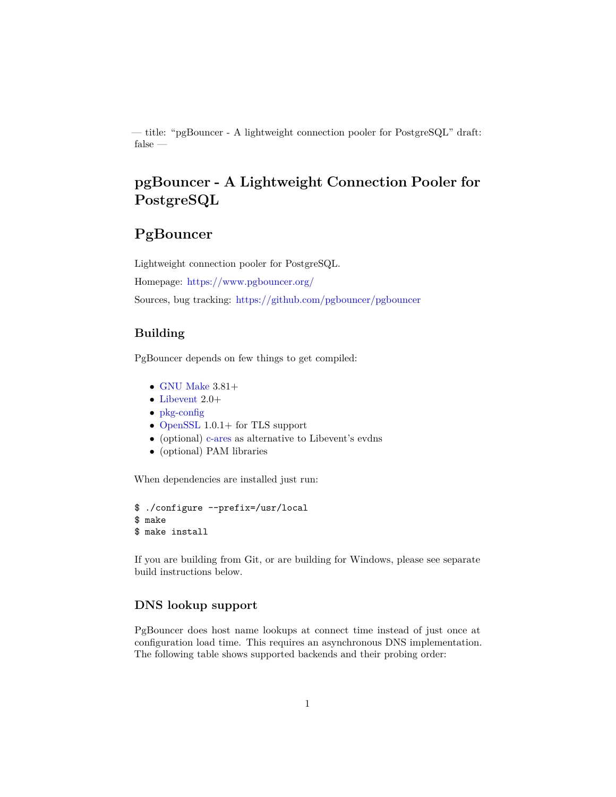— title: "pgBouncer - A lightweight connection pooler for PostgreSQL" draft: false —

# **pgBouncer - A Lightweight Connection Pooler for PostgreSQL**

# **PgBouncer**

Lightweight connection pooler for PostgreSQL. Homepage: <https://www.pgbouncer.org/> Sources, bug tracking: <https://github.com/pgbouncer/pgbouncer>

# **Building**

PgBouncer depends on few things to get compiled:

- $\bullet$  [GNU Make](https://www.gnu.org/software/make/) 3.81+
- [Libevent](http://libevent.org/) 2.0+
- [pkg-config](https://www.freedesktop.org/wiki/Software/pkg-config/)
- [OpenSSL](https://www.openssl.org/) 1.0.1+ for TLS support
- (optional) [c-ares](http://c-ares.haxx.se/) as alternative to Libevent's evdns
- (optional) PAM libraries

When dependencies are installed just run:

```
$ ./configure --prefix=/usr/local
$ make
$ make install
```
If you are building from Git, or are building for Windows, please see separate build instructions below.

### **DNS lookup support**

PgBouncer does host name lookups at connect time instead of just once at configuration load time. This requires an asynchronous DNS implementation. The following table shows supported backends and their probing order: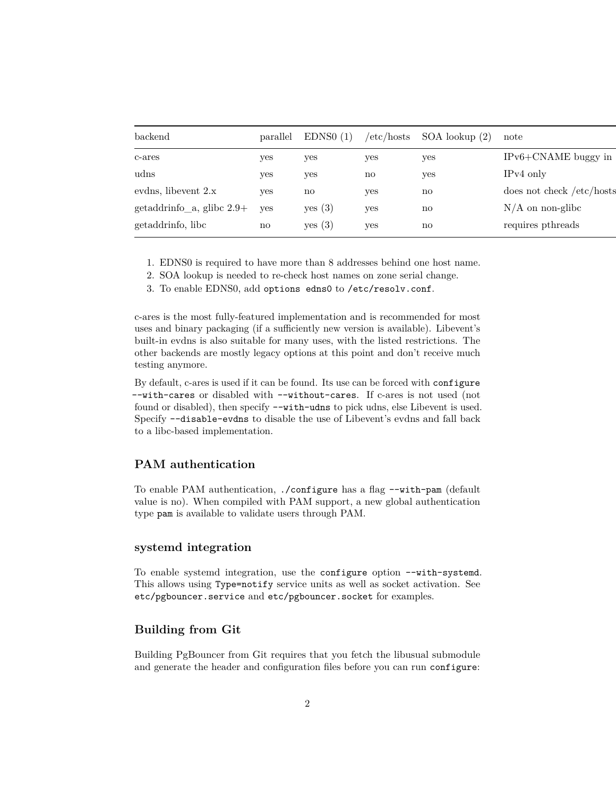| parallel | EDNS0(1)  | /etc/hosts | $SOA$ lookup $(2)$ | note                      |
|----------|-----------|------------|--------------------|---------------------------|
| yes      | yes       | yes        | yes                | $IPv6 + CNAME$ buggy in   |
| yes      | yes       | no         | yes                | $IPv4$ only               |
| ves      | no        | yes        | no                 | does not check /etc/hosts |
| ves      | yes(3)    | yes        | no                 | $N/A$ on non-glibe        |
| no       | yes $(3)$ | yes        | no                 | requires pthreads         |
|          |           |            |                    |                           |

- 1. EDNS0 is required to have more than 8 addresses behind one host name.
- 2. SOA lookup is needed to re-check host names on zone serial change.
- 3. To enable EDNS0, add options edns0 to /etc/resolv.conf.

c-ares is the most fully-featured implementation and is recommended for most uses and binary packaging (if a sufficiently new version is available). Libevent's built-in evdns is also suitable for many uses, with the listed restrictions. The other backends are mostly legacy options at this point and don't receive much testing anymore.

By default, c-ares is used if it can be found. Its use can be forced with configure --with-cares or disabled with --without-cares. If c-ares is not used (not found or disabled), then specify --with-udns to pick udns, else Libevent is used. Specify --disable-evdns to disable the use of Libevent's evdns and fall back to a libc-based implementation.

# **PAM authentication**

To enable PAM authentication, ./configure has a flag --with-pam (default value is no). When compiled with PAM support, a new global authentication type pam is available to validate users through PAM.

# **systemd integration**

To enable systemd integration, use the configure option --with-systemd. This allows using Type=notify service units as well as socket activation. See etc/pgbouncer.service and etc/pgbouncer.socket for examples.

# **Building from Git**

Building PgBouncer from Git requires that you fetch the libusual submodule and generate the header and configuration files before you can run configure: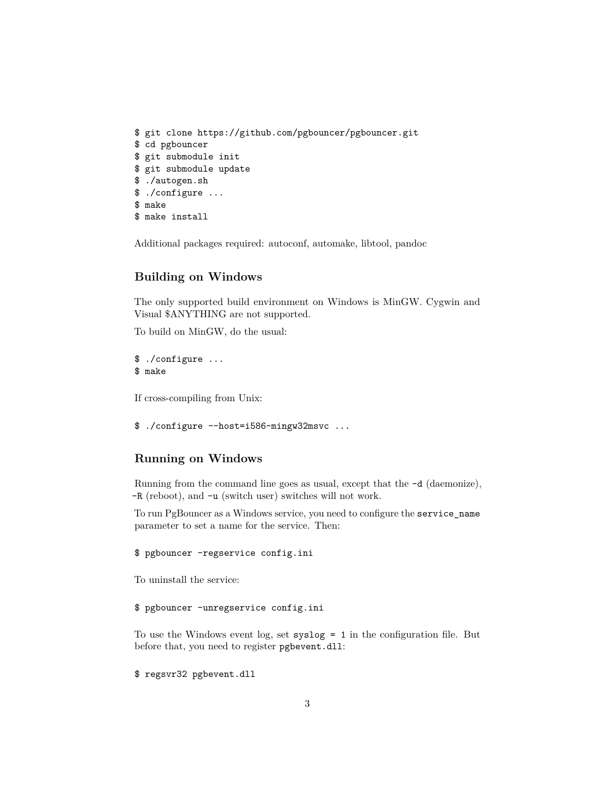```
$ git clone https://github.com/pgbouncer/pgbouncer.git
$ cd pgbouncer
$ git submodule init
$ git submodule update
$ ./autogen.sh
$ ./configure ...
$ make
$ make install
```
Additional packages required: autoconf, automake, libtool, pandoc

# **Building on Windows**

The only supported build environment on Windows is MinGW. Cygwin and Visual \$ANYTHING are not supported.

To build on MinGW, do the usual:

\$ ./configure ... \$ make

If cross-compiling from Unix:

```
$ ./configure --host=i586-mingw32msvc ...
```
# **Running on Windows**

Running from the command line goes as usual, except that the -d (daemonize), -R (reboot), and -u (switch user) switches will not work.

To run PgBouncer as a Windows service, you need to configure the service\_name parameter to set a name for the service. Then:

### \$ pgbouncer -regservice config.ini

To uninstall the service:

\$ pgbouncer -unregservice config.ini

To use the Windows event log, set syslog = 1 in the configuration file. But before that, you need to register pgbevent.dll:

\$ regsvr32 pgbevent.dll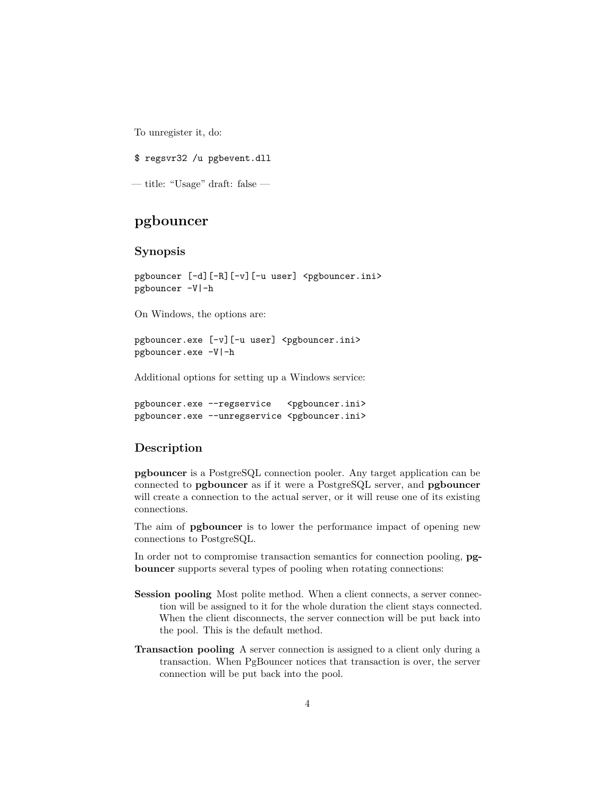To unregister it, do:

\$ regsvr32 /u pgbevent.dll

— title: "Usage" draft: false —

# **pgbouncer**

### **Synopsis**

pgbouncer [-d][-R][-v][-u user] <pgbouncer.ini> pgbouncer -V|-h

On Windows, the options are:

pgbouncer.exe [-v][-u user] <pgbouncer.ini> pgbouncer.exe -V|-h

Additional options for setting up a Windows service:

pgbouncer.exe --regservice <pgbouncer.ini> pgbouncer.exe --unregservice <pgbouncer.ini>

# **Description**

**pgbouncer** is a PostgreSQL connection pooler. Any target application can be connected to **pgbouncer** as if it were a PostgreSQL server, and **pgbouncer** will create a connection to the actual server, or it will reuse one of its existing connections.

The aim of **pgbouncer** is to lower the performance impact of opening new connections to PostgreSQL.

In order not to compromise transaction semantics for connection pooling, **pgbouncer** supports several types of pooling when rotating connections:

- **Session pooling** Most polite method. When a client connects, a server connection will be assigned to it for the whole duration the client stays connected. When the client disconnects, the server connection will be put back into the pool. This is the default method.
- **Transaction pooling** A server connection is assigned to a client only during a transaction. When PgBouncer notices that transaction is over, the server connection will be put back into the pool.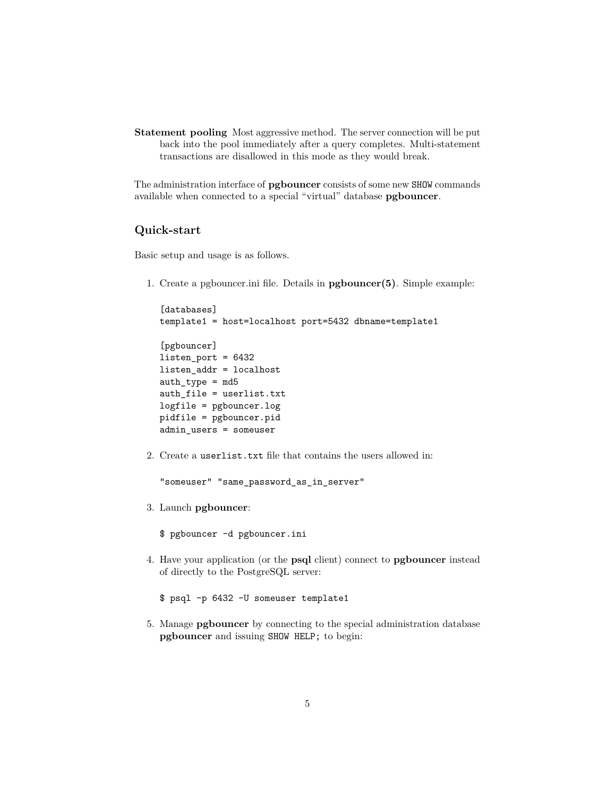**Statement pooling** Most aggressive method. The server connection will be put back into the pool immediately after a query completes. Multi-statement transactions are disallowed in this mode as they would break.

The administration interface of **pgbouncer** consists of some new SHOW commands available when connected to a special "virtual" database **pgbouncer**.

# **Quick-start**

Basic setup and usage is as follows.

1. Create a pgbouncer.ini file. Details in **pgbouncer(5)**. Simple example:

```
[databases]
template1 = host=localhost port=5432 dbname=template1
[pgbouncer]
listen_port = 6432
listen_addr = localhost
auth_type = md5auth_file = userlist.txt
logfile = pgbouncer.log
pidfile = pgbouncer.pid
```
2. Create a userlist.txt file that contains the users allowed in:

```
"someuser" "same_password_as_in_server"
```
3. Launch **pgbouncer**:

admin\_users = someuser

\$ pgbouncer -d pgbouncer.ini

- 4. Have your application (or the **psql** client) connect to **pgbouncer** instead of directly to the PostgreSQL server:
	- \$ psql -p 6432 -U someuser template1
- 5. Manage **pgbouncer** by connecting to the special administration database **pgbouncer** and issuing SHOW HELP; to begin: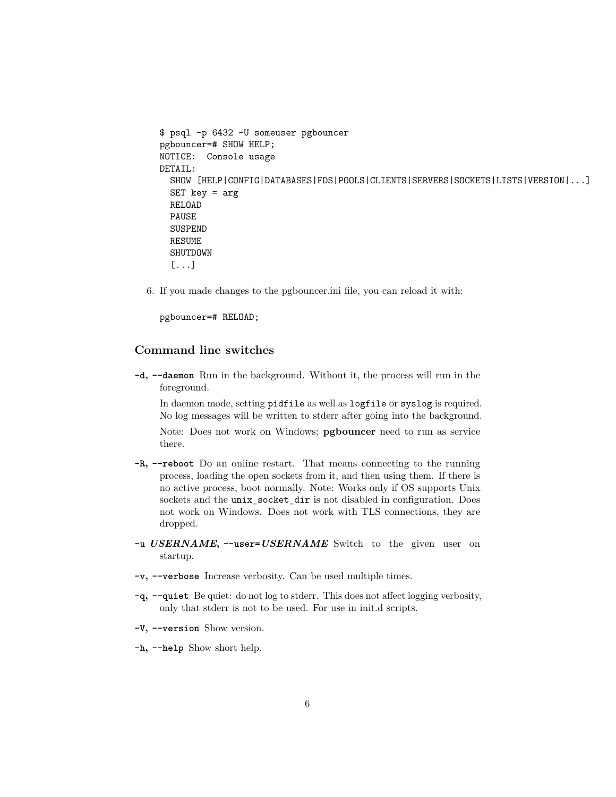```
$ psql -p 6432 -U someuser pgbouncer
pgbouncer=# SHOW HELP;
NOTICE: Console usage
DETAIL:
  SHOW [HELP|CONFIG|DATABASES|FDS|POOLS|CLIENTS|SERVERS|SOCKETS|LISTS|VERSION|...]
  SET \text{key} = \text{arg}RELOAD
  PAUSE
  SUSPEND
  RESUME
  SHUTDOWN
  [...]
```
6. If you made changes to the pgbouncer.ini file, you can reload it with:

pgbouncer=# RELOAD;

# **Command line switches**

**-d, --daemon** Run in the background. Without it, the process will run in the foreground.

In daemon mode, setting pidfile as well as logfile or syslog is required. No log messages will be written to stderr after going into the background.

Note: Does not work on Windows; **pgbouncer** need to run as service there.

- **-R, --reboot** Do an online restart. That means connecting to the running process, loading the open sockets from it, and then using them. If there is no active process, boot normally. Note: Works only if OS supports Unix sockets and the unix\_socket\_dir is not disabled in configuration. Does not work on Windows. Does not work with TLS connections, they are dropped.
- **-u** *USERNAME***, --user=***USERNAME* Switch to the given user on startup.
- **-v, --verbose** Increase verbosity. Can be used multiple times.
- **-q, --quiet** Be quiet: do not log to stderr. This does not affect logging verbosity, only that stderr is not to be used. For use in init.d scripts.
- **-V, --version** Show version.
- **-h, --help** Show short help.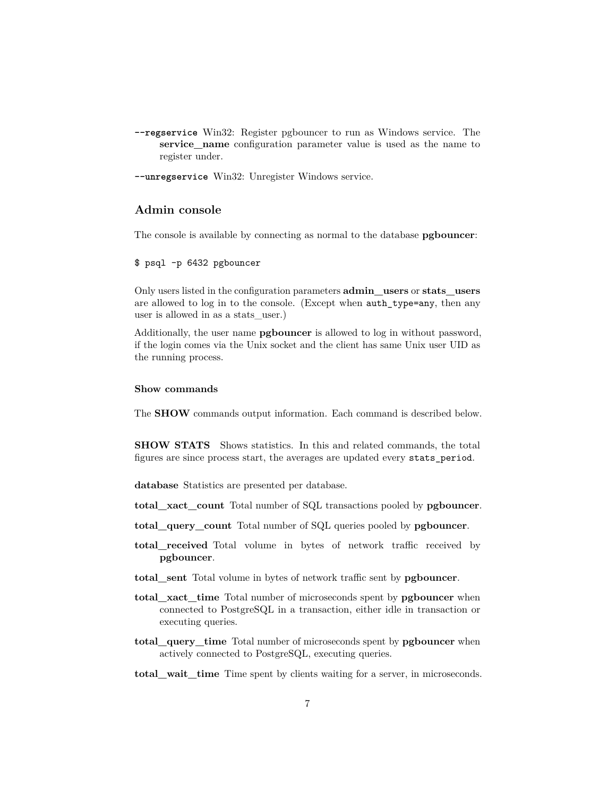- **--regservice** Win32: Register pgbouncer to run as Windows service. The **service\_name** configuration parameter value is used as the name to register under.
- **--unregservice** Win32: Unregister Windows service.

# **Admin console**

The console is available by connecting as normal to the database **pgbouncer**:

### \$ psql -p 6432 pgbouncer

Only users listed in the configuration parameters **admin\_users** or **stats\_users** are allowed to log in to the console. (Except when auth\_type=any, then any user is allowed in as a stats\_user.)

Additionally, the user name **pgbouncer** is allowed to log in without password, if the login comes via the Unix socket and the client has same Unix user UID as the running process.

### **Show commands**

The **SHOW** commands output information. Each command is described below.

**SHOW STATS** Shows statistics. In this and related commands, the total figures are since process start, the averages are updated every stats\_period.

**database** Statistics are presented per database.

**total\_xact\_count** Total number of SQL transactions pooled by **pgbouncer**.

**total\_query\_count** Total number of SQL queries pooled by **pgbouncer**.

- **total\_received** Total volume in bytes of network traffic received by **pgbouncer**.
- **total\_sent** Total volume in bytes of network traffic sent by **pgbouncer**.
- **total\_xact\_time** Total number of microseconds spent by **pgbouncer** when connected to PostgreSQL in a transaction, either idle in transaction or executing queries.
- **total\_query\_time** Total number of microseconds spent by **pgbouncer** when actively connected to PostgreSQL, executing queries.
- **total\_wait\_time** Time spent by clients waiting for a server, in microseconds.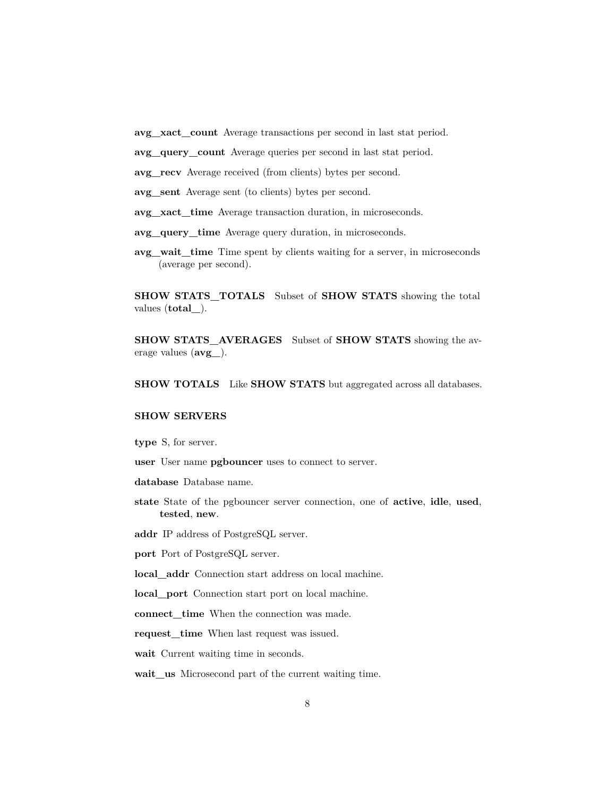- **avg\_xact\_count** Average transactions per second in last stat period.
- **avg\_query\_count** Average queries per second in last stat period.

**avg\_recv** Average received (from clients) bytes per second.

- **avg\_sent** Average sent (to clients) bytes per second.
- **avg\_xact\_time** Average transaction duration, in microseconds.
- **avg\_query\_time** Average query duration, in microseconds.
- **avg\_wait\_time** Time spent by clients waiting for a server, in microseconds (average per second).

**SHOW STATS\_TOTALS** Subset of **SHOW STATS** showing the total values (**total\_**).

**SHOW STATS\_AVERAGES** Subset of **SHOW STATS** showing the average values (**avg\_**).

**SHOW TOTALS** Like **SHOW STATS** but aggregated across all databases.

# **SHOW SERVERS**

**type** S, for server.

**user** User name **pgbouncer** uses to connect to server.

**database** Database name.

**state** State of the pgbouncer server connection, one of **active**, **idle**, **used**, **tested**, **new**.

**addr** IP address of PostgreSQL server.

**port** Port of PostgreSQL server.

**local\_addr** Connection start address on local machine.

**local\_port** Connection start port on local machine.

**connect\_time** When the connection was made.

**request\_time** When last request was issued.

**wait** Current waiting time in seconds.

**wait\_us** Microsecond part of the current waiting time.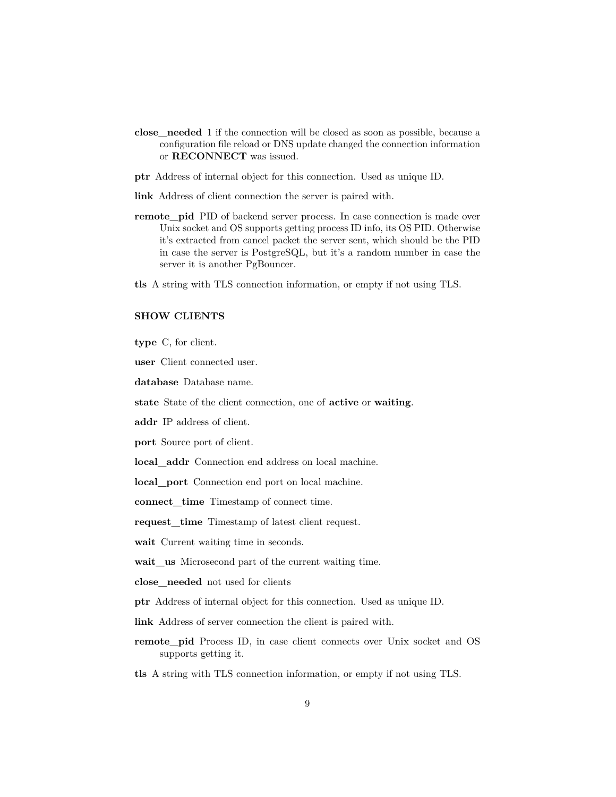- **close\_needed** 1 if the connection will be closed as soon as possible, because a configuration file reload or DNS update changed the connection information or **RECONNECT** was issued.
- **ptr** Address of internal object for this connection. Used as unique ID.
- **link** Address of client connection the server is paired with.
- **remote\_pid** PID of backend server process. In case connection is made over Unix socket and OS supports getting process ID info, its OS PID. Otherwise it's extracted from cancel packet the server sent, which should be the PID in case the server is PostgreSQL, but it's a random number in case the server it is another PgBouncer.
- **tls** A string with TLS connection information, or empty if not using TLS.

### **SHOW CLIENTS**

**type** C, for client.

**user** Client connected user.

**database** Database name.

**state** State of the client connection, one of **active** or **waiting**.

**addr** IP address of client.

**port** Source port of client.

**local\_addr** Connection end address on local machine.

**local\_port** Connection end port on local machine.

**connect\_time** Timestamp of connect time.

**request\_time** Timestamp of latest client request.

**wait** Current waiting time in seconds.

**wait\_us** Microsecond part of the current waiting time.

**close\_needed** not used for clients

**ptr** Address of internal object for this connection. Used as unique ID.

**link** Address of server connection the client is paired with.

- **remote\_pid** Process ID, in case client connects over Unix socket and OS supports getting it.
- **tls** A string with TLS connection information, or empty if not using TLS.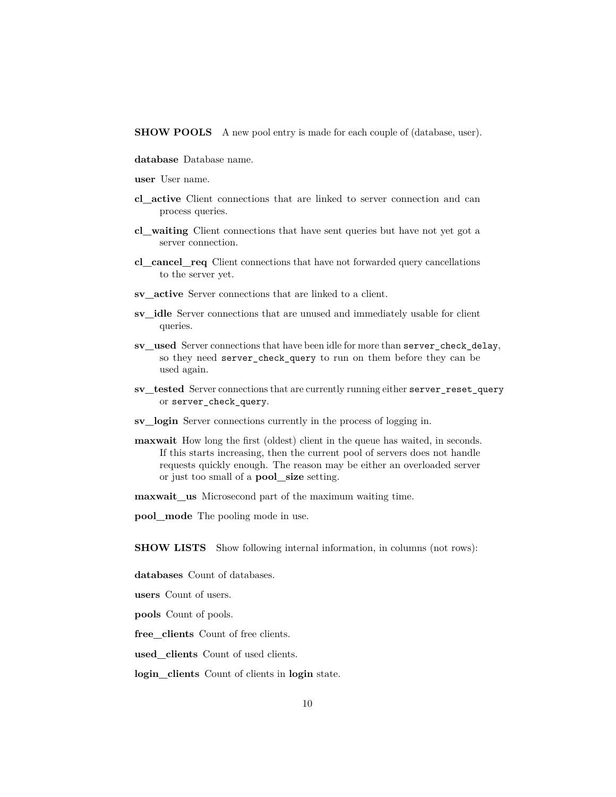**SHOW POOLS** A new pool entry is made for each couple of (database, user).

- **database** Database name.
- **user** User name.
- **cl\_active** Client connections that are linked to server connection and can process queries.
- **cl\_waiting** Client connections that have sent queries but have not yet got a server connection.
- **cl\_cancel\_req** Client connections that have not forwarded query cancellations to the server yet.
- **sv\_active** Server connections that are linked to a client.
- **sv\_idle** Server connections that are unused and immediately usable for client queries.
- **sv\_used** Server connections that have been idle for more than server check delay, so they need server\_check\_query to run on them before they can be used again.
- **sv\_tested** Server connections that are currently running either server\_reset\_query or server\_check\_query.
- **sv\_login** Server connections currently in the process of logging in.
- **maxwait** How long the first (oldest) client in the queue has waited, in seconds. If this starts increasing, then the current pool of servers does not handle requests quickly enough. The reason may be either an overloaded server or just too small of a **pool\_size** setting.

**maxwait** us Microsecond part of the maximum waiting time.

**pool\_mode** The pooling mode in use.

**SHOW LISTS** Show following internal information, in columns (not rows):

**databases** Count of databases.

**users** Count of users.

**pools** Count of pools.

**free\_clients** Count of free clients.

**used\_clients** Count of used clients.

**login\_clients** Count of clients in **login** state.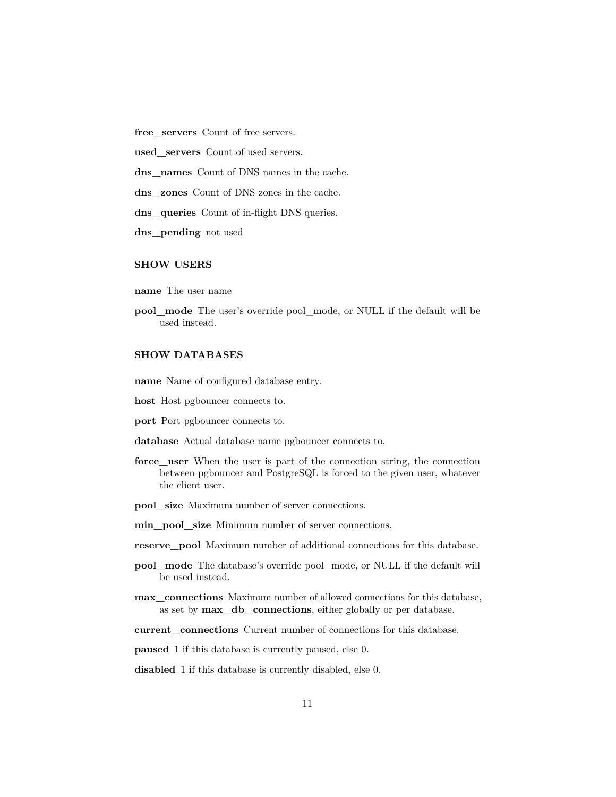**free\_servers** Count of free servers.

**used\_servers** Count of used servers.

dns names Count of DNS names in the cache.

**dns\_zones** Count of DNS zones in the cache.

dns queries Count of in-flight DNS queries.

**dns\_pending** not used

### **SHOW USERS**

**name** The user name

**pool\_mode** The user's override pool\_mode, or NULL if the default will be used instead.

# **SHOW DATABASES**

**name** Name of configured database entry.

- **host** Host pgbouncer connects to.
- **port** Port pgbouncer connects to.
- **database** Actual database name pgbouncer connects to.
- **force** user When the user is part of the connection string, the connection between pgbouncer and PostgreSQL is forced to the given user, whatever the client user.
- **pool\_size** Maximum number of server connections.
- **min\_pool\_size** Minimum number of server connections.
- **reserve\_pool** Maximum number of additional connections for this database.
- **pool\_mode** The database's override pool\_mode, or NULL if the default will be used instead.
- **max\_connections** Maximum number of allowed connections for this database, as set by **max\_db\_connections**, either globally or per database.
- **current\_connections** Current number of connections for this database.

**paused** 1 if this database is currently paused, else 0.

**disabled** 1 if this database is currently disabled, else 0.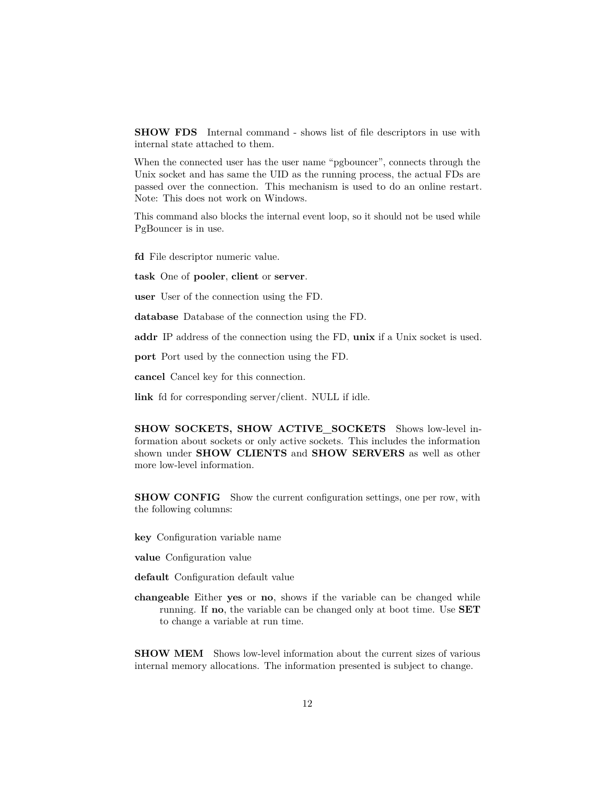**SHOW FDS** Internal command - shows list of file descriptors in use with internal state attached to them.

When the connected user has the user name "pgbouncer", connects through the Unix socket and has same the UID as the running process, the actual FDs are passed over the connection. This mechanism is used to do an online restart. Note: This does not work on Windows.

This command also blocks the internal event loop, so it should not be used while PgBouncer is in use.

**fd** File descriptor numeric value.

**task** One of **pooler**, **client** or **server**.

**user** User of the connection using the FD.

**database** Database of the connection using the FD.

**addr** IP address of the connection using the FD, **unix** if a Unix socket is used.

**port** Port used by the connection using the FD.

**cancel** Cancel key for this connection.

**link** fd for corresponding server/client. NULL if idle.

**SHOW SOCKETS, SHOW ACTIVE\_SOCKETS** Shows low-level information about sockets or only active sockets. This includes the information shown under **SHOW CLIENTS** and **SHOW SERVERS** as well as other more low-level information.

**SHOW CONFIG** Show the current configuration settings, one per row, with the following columns:

**key** Configuration variable name

**value** Configuration value

**default** Configuration default value

**changeable** Either **yes** or **no**, shows if the variable can be changed while running. If **no**, the variable can be changed only at boot time. Use **SET** to change a variable at run time.

**SHOW MEM** Shows low-level information about the current sizes of various internal memory allocations. The information presented is subject to change.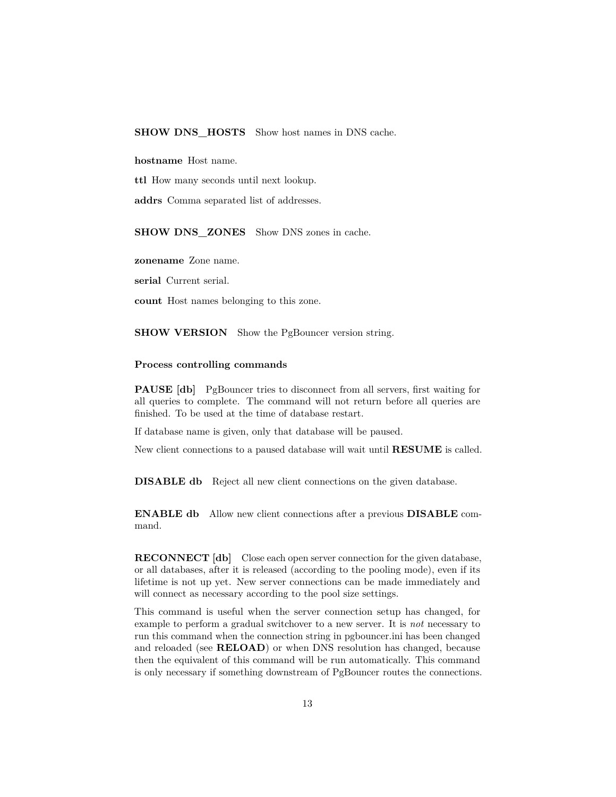### **SHOW DNS\_HOSTS** Show host names in DNS cache.

**hostname** Host name.

**ttl** How many seconds until next lookup.

**addrs** Comma separated list of addresses.

**SHOW DNS\_ZONES** Show DNS zones in cache.

**zonename** Zone name.

**serial** Current serial.

**count** Host names belonging to this zone.

**SHOW VERSION** Show the PgBouncer version string.

### **Process controlling commands**

**PAUSE** [db] PgBouncer tries to disconnect from all servers, first waiting for all queries to complete. The command will not return before all queries are finished. To be used at the time of database restart.

If database name is given, only that database will be paused.

New client connections to a paused database will wait until **RESUME** is called.

**DISABLE db** Reject all new client connections on the given database.

**ENABLE db** Allow new client connections after a previous **DISABLE** command.

**RECONNECT** [db] Close each open server connection for the given database, or all databases, after it is released (according to the pooling mode), even if its lifetime is not up yet. New server connections can be made immediately and will connect as necessary according to the pool size settings.

This command is useful when the server connection setup has changed, for example to perform a gradual switchover to a new server. It is *not* necessary to run this command when the connection string in pgbouncer.ini has been changed and reloaded (see **RELOAD**) or when DNS resolution has changed, because then the equivalent of this command will be run automatically. This command is only necessary if something downstream of PgBouncer routes the connections.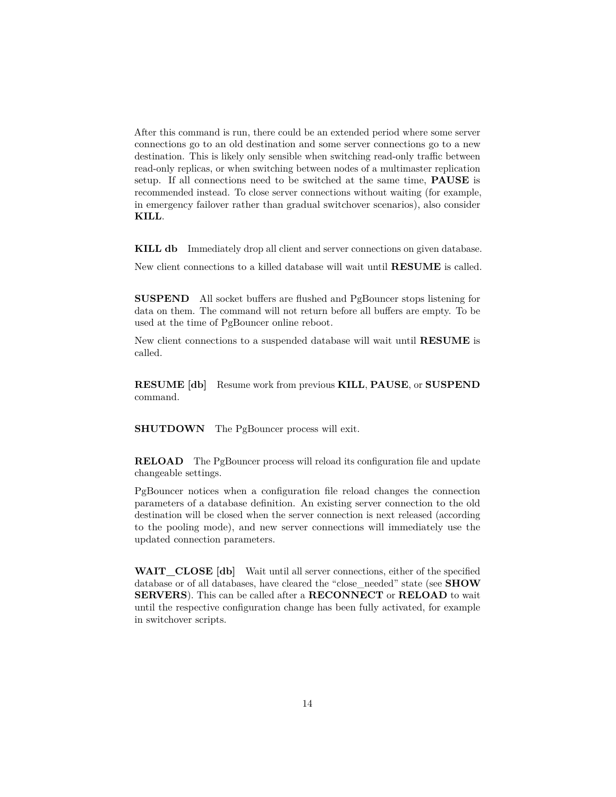After this command is run, there could be an extended period where some server connections go to an old destination and some server connections go to a new destination. This is likely only sensible when switching read-only traffic between read-only replicas, or when switching between nodes of a multimaster replication setup. If all connections need to be switched at the same time, **PAUSE** is recommended instead. To close server connections without waiting (for example, in emergency failover rather than gradual switchover scenarios), also consider **KILL**.

**KILL db** Immediately drop all client and server connections on given database.

New client connections to a killed database will wait until **RESUME** is called.

**SUSPEND** All socket buffers are flushed and PgBouncer stops listening for data on them. The command will not return before all buffers are empty. To be used at the time of PgBouncer online reboot.

New client connections to a suspended database will wait until **RESUME** is called.

**RESUME [db]** Resume work from previous **KILL**, **PAUSE**, or **SUSPEND** command.

**SHUTDOWN** The PgBouncer process will exit.

**RELOAD** The PgBouncer process will reload its configuration file and update changeable settings.

PgBouncer notices when a configuration file reload changes the connection parameters of a database definition. An existing server connection to the old destination will be closed when the server connection is next released (according to the pooling mode), and new server connections will immediately use the updated connection parameters.

**WAIT** CLOSE [db] Wait until all server connections, either of the specified database or of all databases, have cleared the "close\_needed" state (see **SHOW SERVERS**). This can be called after a **RECONNECT** or **RELOAD** to wait until the respective configuration change has been fully activated, for example in switchover scripts.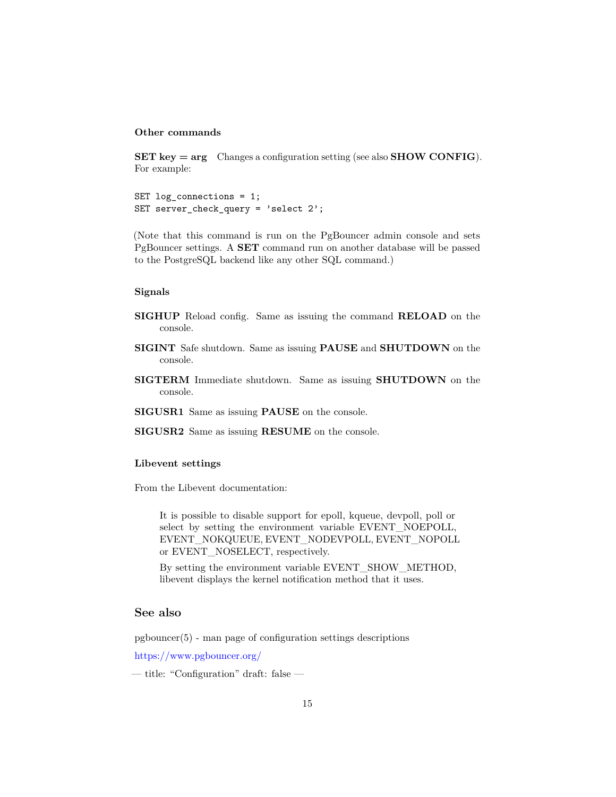### **Other commands**

**SET key = arg** Changes a configuration setting (see also **SHOW CONFIG**). For example:

SET log connections =  $1$ ; SET server\_check\_query = 'select 2';

(Note that this command is run on the PgBouncer admin console and sets PgBouncer settings. A **SET** command run on another database will be passed to the PostgreSQL backend like any other SQL command.)

#### **Signals**

- **SIGHUP** Reload config. Same as issuing the command **RELOAD** on the console.
- **SIGINT** Safe shutdown. Same as issuing **PAUSE** and **SHUTDOWN** on the console.
- **SIGTERM** Immediate shutdown. Same as issuing **SHUTDOWN** on the console.

**SIGUSR1** Same as issuing **PAUSE** on the console.

**SIGUSR2** Same as issuing **RESUME** on the console.

#### **Libevent settings**

From the Libevent documentation:

It is possible to disable support for epoll, kqueue, devpoll, poll or select by setting the environment variable EVENT\_NOEPOLL, EVENT\_NOKQUEUE, EVENT\_NODEVPOLL, EVENT\_NOPOLL or EVENT\_NOSELECT, respectively.

By setting the environment variable EVENT\_SHOW\_METHOD, libevent displays the kernel notification method that it uses.

### **See also**

pgbouncer(5) - man page of configuration settings descriptions

<https://www.pgbouncer.org/>

— title: "Configuration" draft: false —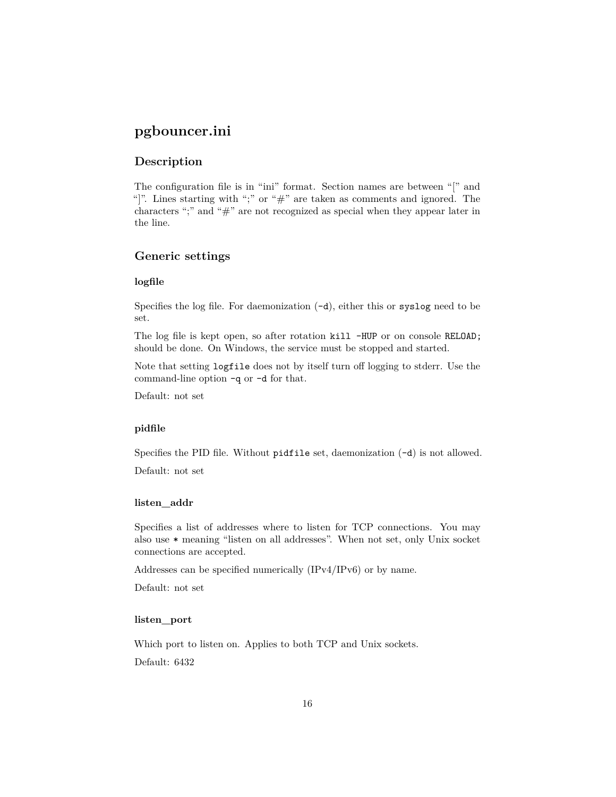# **pgbouncer.ini**

# **Description**

The configuration file is in "ini" format. Section names are between "[" and "]". Lines starting with ";" or "#" are taken as comments and ignored. The characters ";" and "#" are not recognized as special when they appear later in the line.

# **Generic settings**

### **logfile**

Specifies the log file. For daemonization  $(-d)$ , either this or syslog need to be set.

The log file is kept open, so after rotation kill -HUP or on console RELOAD; should be done. On Windows, the service must be stopped and started.

Note that setting logfile does not by itself turn off logging to stderr. Use the command-line option -q or -d for that.

Default: not set

### **pidfile**

Specifies the PID file. Without pidfile set, daemonization  $(-d)$  is not allowed.

Default: not set

# **listen\_addr**

Specifies a list of addresses where to listen for TCP connections. You may also use \* meaning "listen on all addresses". When not set, only Unix socket connections are accepted.

Addresses can be specified numerically (IPv4/IPv6) or by name.

Default: not set

### **listen\_port**

Which port to listen on. Applies to both TCP and Unix sockets.

Default: 6432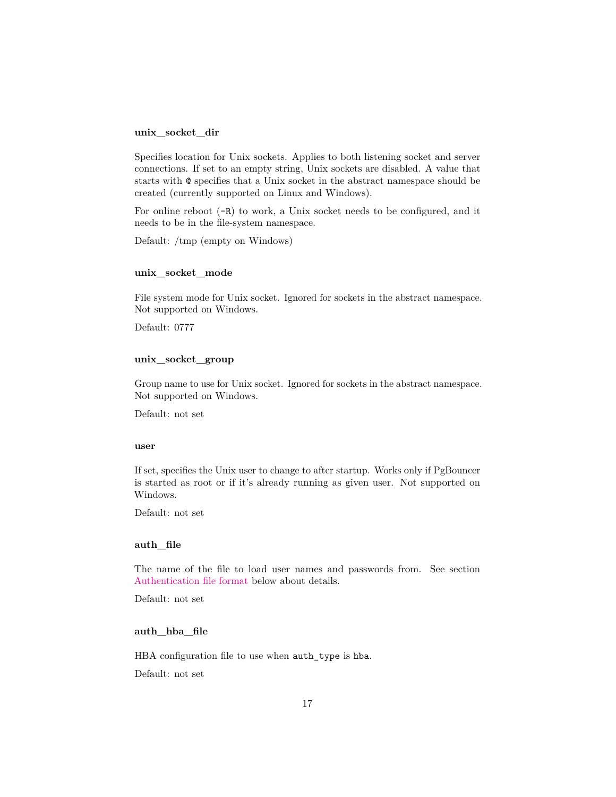#### **unix\_socket\_dir**

Specifies location for Unix sockets. Applies to both listening socket and server connections. If set to an empty string, Unix sockets are disabled. A value that starts with @ specifies that a Unix socket in the abstract namespace should be created (currently supported on Linux and Windows).

For online reboot (-R) to work, a Unix socket needs to be configured, and it needs to be in the file-system namespace.

Default: /tmp (empty on Windows)

#### **unix\_socket\_mode**

File system mode for Unix socket. Ignored for sockets in the abstract namespace. Not supported on Windows.

Default: 0777

### **unix\_socket\_group**

Group name to use for Unix socket. Ignored for sockets in the abstract namespace. Not supported on Windows.

Default: not set

#### **user**

If set, specifies the Unix user to change to after startup. Works only if PgBouncer is started as root or if it's already running as given user. Not supported on Windows.

Default: not set

#### **auth\_file**

The name of the file to load user names and passwords from. See section [Authentication file format](#page-36-0) below about details.

Default: not set

### **auth\_hba\_file**

HBA configuration file to use when auth\_type is hba.

Default: not set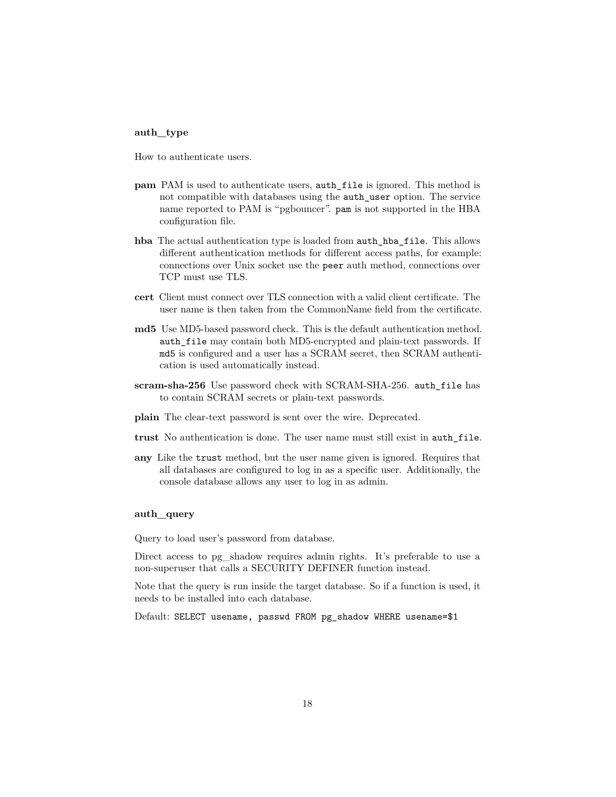### **auth\_type**

How to authenticate users.

- **pam** PAM is used to authenticate users, auth file is ignored. This method is not compatible with databases using the auth\_user option. The service name reported to PAM is "pgbouncer". pam is not supported in the HBA configuration file.
- **hba** The actual authentication type is loaded from auth\_hba\_file. This allows different authentication methods for different access paths, for example: connections over Unix socket use the peer auth method, connections over TCP must use TLS.
- **cert** Client must connect over TLS connection with a valid client certificate. The user name is then taken from the CommonName field from the certificate.
- **md5** Use MD5-based password check. This is the default authentication method. auth\_file may contain both MD5-encrypted and plain-text passwords. If md5 is configured and a user has a SCRAM secret, then SCRAM authentication is used automatically instead.
- **scram-sha-256** Use password check with SCRAM-SHA-256. auth\_file has to contain SCRAM secrets or plain-text passwords.
- **plain** The clear-text password is sent over the wire. Deprecated.
- **trust** No authentication is done. The user name must still exist in auth\_file.
- **any** Like the trust method, but the user name given is ignored. Requires that all databases are configured to log in as a specific user. Additionally, the console database allows any user to log in as admin.

#### **auth\_query**

Query to load user's password from database.

Direct access to pg\_shadow requires admin rights. It's preferable to use a non-superuser that calls a SECURITY DEFINER function instead.

Note that the query is run inside the target database. So if a function is used, it needs to be installed into each database.

Default: SELECT usename, passwd FROM pg\_shadow WHERE usename=\$1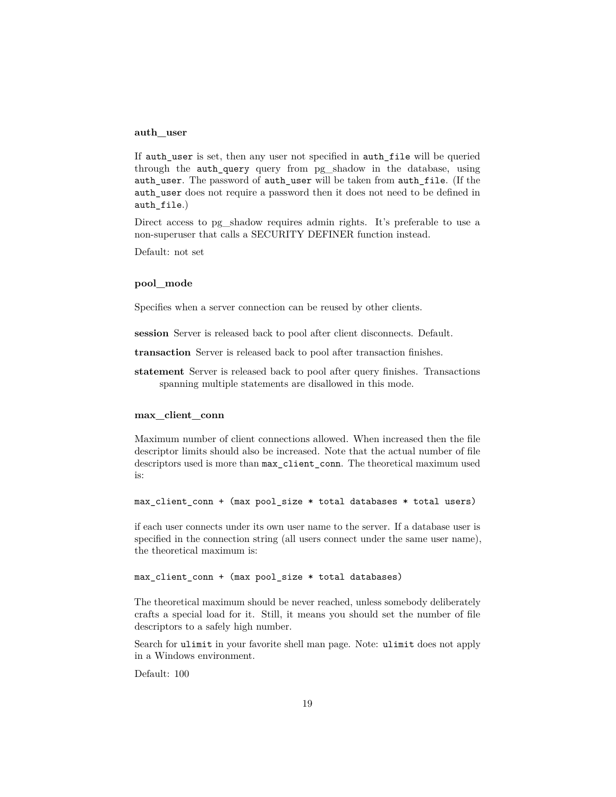### **auth\_user**

If auth\_user is set, then any user not specified in auth\_file will be queried through the auth\_query query from pg\_shadow in the database, using auth\_user. The password of auth\_user will be taken from auth\_file. (If the auth\_user does not require a password then it does not need to be defined in auth file.)

Direct access to pg\_shadow requires admin rights. It's preferable to use a non-superuser that calls a SECURITY DEFINER function instead.

Default: not set

#### **pool\_mode**

Specifies when a server connection can be reused by other clients.

**session** Server is released back to pool after client disconnects. Default.

**transaction** Server is released back to pool after transaction finishes.

**statement** Server is released back to pool after query finishes. Transactions spanning multiple statements are disallowed in this mode.

#### **max\_client\_conn**

Maximum number of client connections allowed. When increased then the file descriptor limits should also be increased. Note that the actual number of file descriptors used is more than max\_client\_conn. The theoretical maximum used is:

max\_client\_conn + (max pool\_size \* total databases \* total users)

if each user connects under its own user name to the server. If a database user is specified in the connection string (all users connect under the same user name), the theoretical maximum is:

max\_client\_conn + (max pool\_size \* total databases)

The theoretical maximum should be never reached, unless somebody deliberately crafts a special load for it. Still, it means you should set the number of file descriptors to a safely high number.

Search for ulimit in your favorite shell man page. Note: ulimit does not apply in a Windows environment.

Default: 100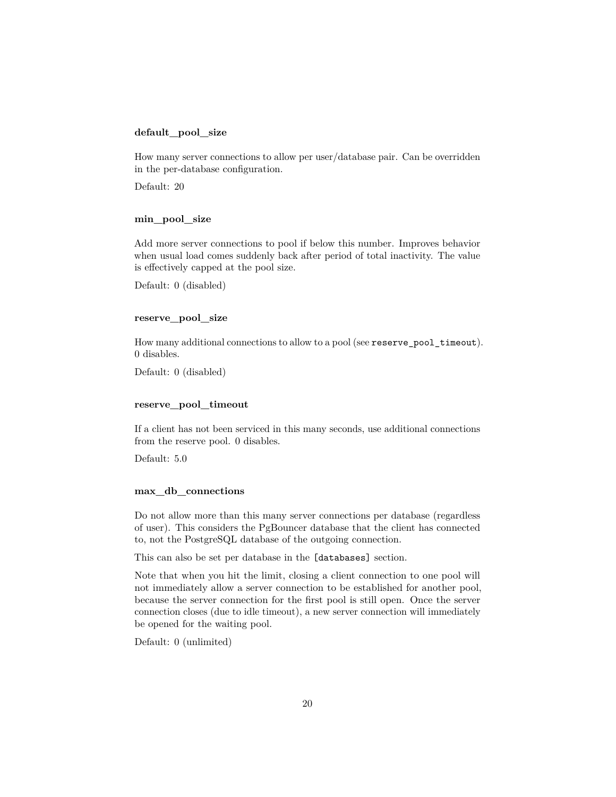#### **default\_pool\_size**

How many server connections to allow per user/database pair. Can be overridden in the per-database configuration.

Default: 20

### **min\_pool\_size**

Add more server connections to pool if below this number. Improves behavior when usual load comes suddenly back after period of total inactivity. The value is effectively capped at the pool size.

Default: 0 (disabled)

#### **reserve\_pool\_size**

How many additional connections to allow to a pool (see reserve\_pool\_timeout). 0 disables.

Default: 0 (disabled)

### **reserve\_pool\_timeout**

If a client has not been serviced in this many seconds, use additional connections from the reserve pool. 0 disables.

Default: 5.0

#### **max\_db\_connections**

Do not allow more than this many server connections per database (regardless of user). This considers the PgBouncer database that the client has connected to, not the PostgreSQL database of the outgoing connection.

This can also be set per database in the [databases] section.

Note that when you hit the limit, closing a client connection to one pool will not immediately allow a server connection to be established for another pool, because the server connection for the first pool is still open. Once the server connection closes (due to idle timeout), a new server connection will immediately be opened for the waiting pool.

Default: 0 (unlimited)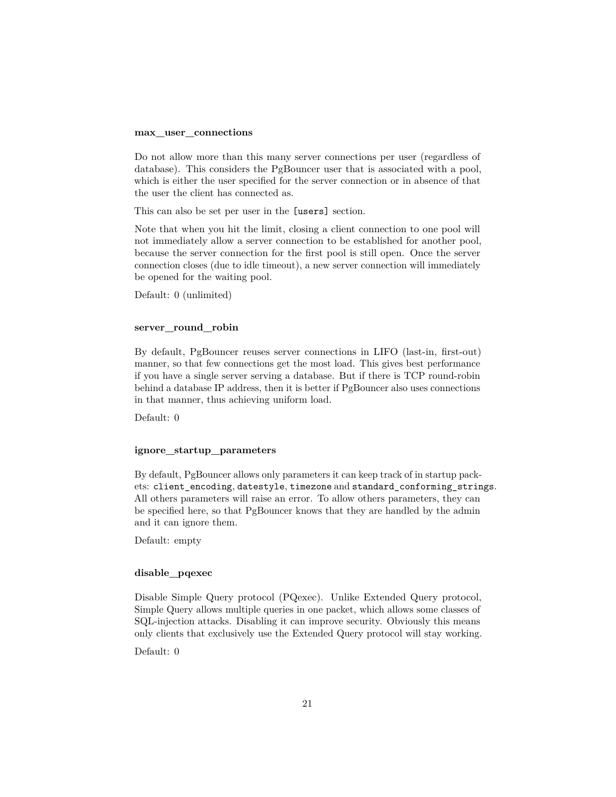#### **max\_user\_connections**

Do not allow more than this many server connections per user (regardless of database). This considers the PgBouncer user that is associated with a pool, which is either the user specified for the server connection or in absence of that the user the client has connected as.

This can also be set per user in the [users] section.

Note that when you hit the limit, closing a client connection to one pool will not immediately allow a server connection to be established for another pool, because the server connection for the first pool is still open. Once the server connection closes (due to idle timeout), a new server connection will immediately be opened for the waiting pool.

Default: 0 (unlimited)

#### **server\_round\_robin**

By default, PgBouncer reuses server connections in LIFO (last-in, first-out) manner, so that few connections get the most load. This gives best performance if you have a single server serving a database. But if there is TCP round-robin behind a database IP address, then it is better if PgBouncer also uses connections in that manner, thus achieving uniform load.

Default: 0

#### **ignore\_startup\_parameters**

By default, PgBouncer allows only parameters it can keep track of in startup packets: client\_encoding, datestyle, timezone and standard\_conforming\_strings. All others parameters will raise an error. To allow others parameters, they can be specified here, so that PgBouncer knows that they are handled by the admin and it can ignore them.

Default: empty

### **disable\_pqexec**

Disable Simple Query protocol (PQexec). Unlike Extended Query protocol, Simple Query allows multiple queries in one packet, which allows some classes of SQL-injection attacks. Disabling it can improve security. Obviously this means only clients that exclusively use the Extended Query protocol will stay working.

Default: 0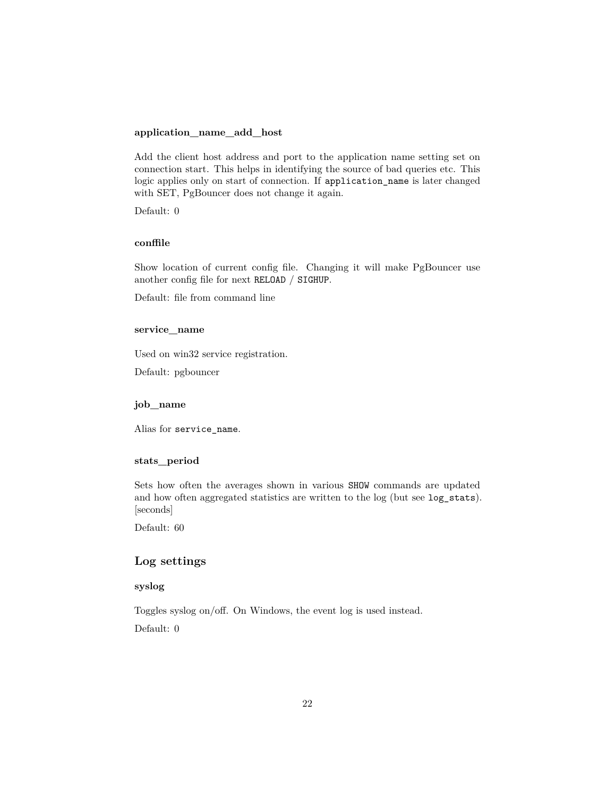### **application\_name\_add\_host**

Add the client host address and port to the application name setting set on connection start. This helps in identifying the source of bad queries etc. This logic applies only on start of connection. If application\_name is later changed with SET, PgBouncer does not change it again.

Default: 0

# **conffile**

Show location of current config file. Changing it will make PgBouncer use another config file for next RELOAD / SIGHUP.

Default: file from command line

### **service\_name**

Used on win32 service registration.

Default: pgbouncer

### **job\_name**

Alias for service\_name.

# **stats\_period**

Sets how often the averages shown in various SHOW commands are updated and how often aggregated statistics are written to the log (but see log\_stats). [seconds]

Default: 60

# **Log settings**

# **syslog**

Toggles syslog on/off. On Windows, the event log is used instead. Default: 0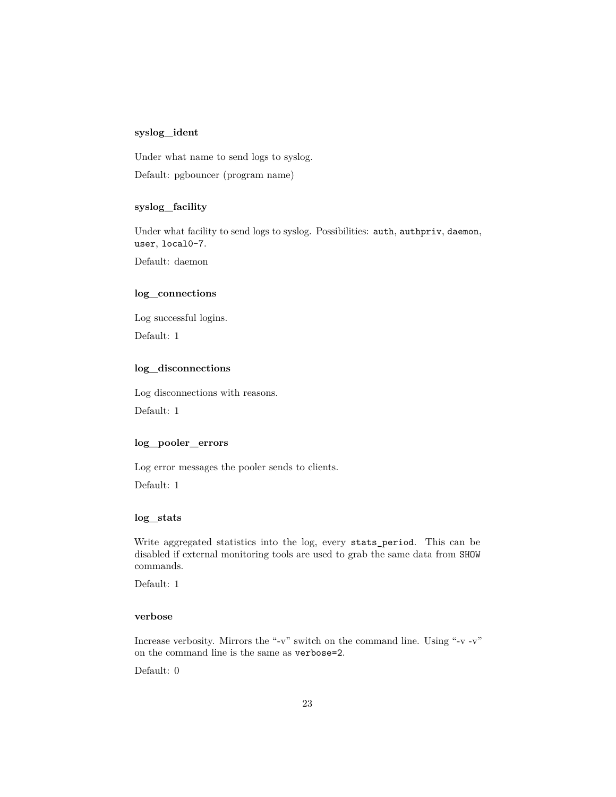### **syslog\_ident**

Under what name to send logs to syslog.

Default: pgbouncer (program name)

### **syslog\_facility**

Under what facility to send logs to syslog. Possibilities: auth, authpriv, daemon, user, local0-7.

Default: daemon

# **log\_connections**

Log successful logins.

Default: 1

### **log\_disconnections**

Log disconnections with reasons.

Default: 1

### **log\_pooler\_errors**

Log error messages the pooler sends to clients.

Default: 1

### **log\_stats**

Write aggregated statistics into the log, every stats\_period. This can be disabled if external monitoring tools are used to grab the same data from SHOW commands.

Default: 1

#### **verbose**

Increase verbosity. Mirrors the "-v" switch on the command line. Using "-v -v" on the command line is the same as verbose=2.

Default: 0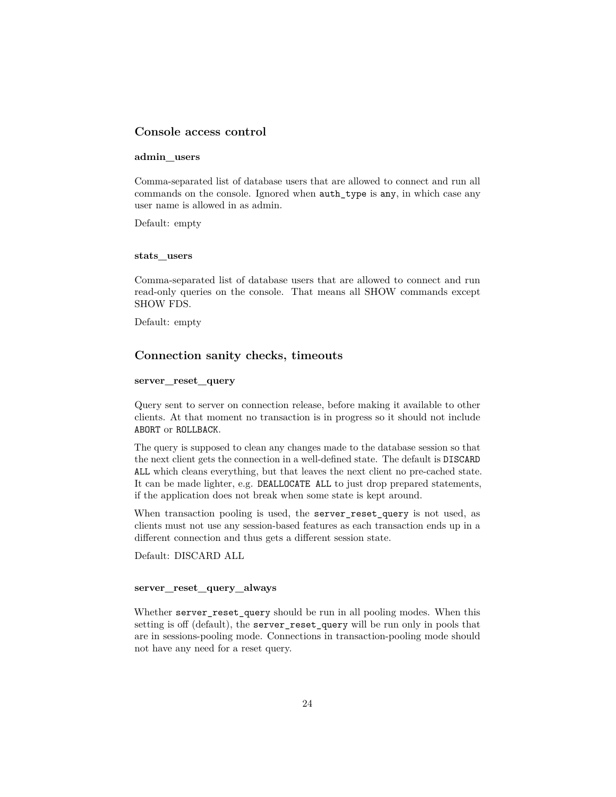# **Console access control**

#### **admin\_users**

Comma-separated list of database users that are allowed to connect and run all commands on the console. Ignored when auth\_type is any, in which case any user name is allowed in as admin.

Default: empty

#### **stats\_users**

Comma-separated list of database users that are allowed to connect and run read-only queries on the console. That means all SHOW commands except SHOW FDS.

Default: empty

### **Connection sanity checks, timeouts**

### **server\_reset\_query**

Query sent to server on connection release, before making it available to other clients. At that moment no transaction is in progress so it should not include ABORT or ROLLBACK.

The query is supposed to clean any changes made to the database session so that the next client gets the connection in a well-defined state. The default is DISCARD ALL which cleans everything, but that leaves the next client no pre-cached state. It can be made lighter, e.g. DEALLOCATE ALL to just drop prepared statements, if the application does not break when some state is kept around.

When transaction pooling is used, the server\_reset\_query is not used, as clients must not use any session-based features as each transaction ends up in a different connection and thus gets a different session state.

Default: DISCARD ALL

#### **server\_reset\_query\_always**

Whether server\_reset\_query should be run in all pooling modes. When this setting is off (default), the server\_reset\_query will be run only in pools that are in sessions-pooling mode. Connections in transaction-pooling mode should not have any need for a reset query.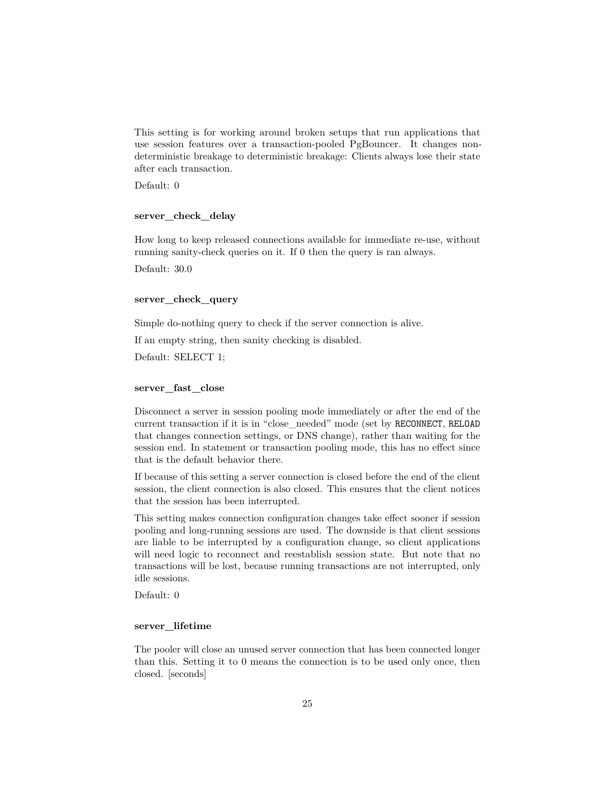This setting is for working around broken setups that run applications that use session features over a transaction-pooled PgBouncer. It changes nondeterministic breakage to deterministic breakage: Clients always lose their state after each transaction.

Default: 0

#### **server\_check\_delay**

How long to keep released connections available for immediate re-use, without running sanity-check queries on it. If 0 then the query is ran always.

Default: 30.0

#### **server\_check\_query**

Simple do-nothing query to check if the server connection is alive.

If an empty string, then sanity checking is disabled.

Default: SELECT 1;

#### **server\_fast\_close**

Disconnect a server in session pooling mode immediately or after the end of the current transaction if it is in "close\_needed" mode (set by RECONNECT, RELOAD that changes connection settings, or DNS change), rather than waiting for the session end. In statement or transaction pooling mode, this has no effect since that is the default behavior there.

If because of this setting a server connection is closed before the end of the client session, the client connection is also closed. This ensures that the client notices that the session has been interrupted.

This setting makes connection configuration changes take effect sooner if session pooling and long-running sessions are used. The downside is that client sessions are liable to be interrupted by a configuration change, so client applications will need logic to reconnect and reestablish session state. But note that no transactions will be lost, because running transactions are not interrupted, only idle sessions.

Default: 0

#### **server\_lifetime**

The pooler will close an unused server connection that has been connected longer than this. Setting it to 0 means the connection is to be used only once, then closed. [seconds]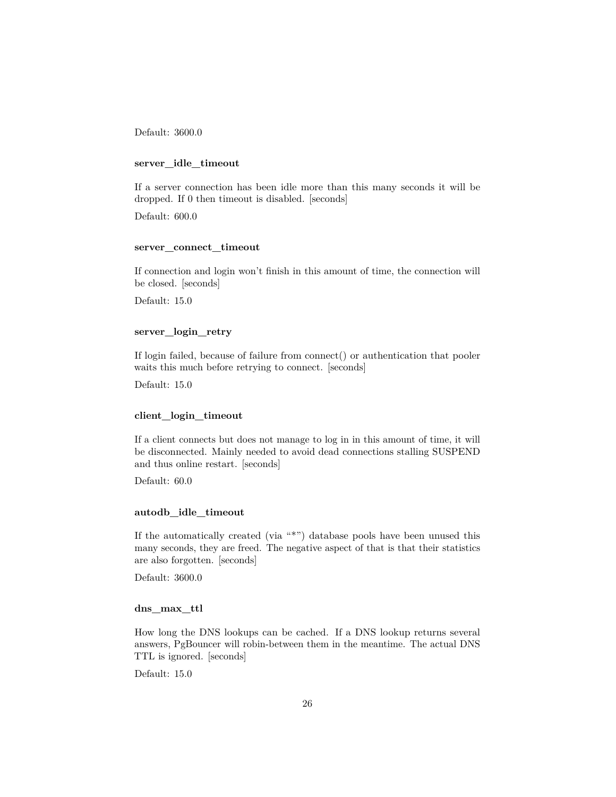Default: 3600.0

#### **server\_idle\_timeout**

If a server connection has been idle more than this many seconds it will be dropped. If 0 then timeout is disabled. [seconds]

Default: 600.0

### **server\_connect\_timeout**

If connection and login won't finish in this amount of time, the connection will be closed. [seconds]

Default: 15.0

#### **server\_login\_retry**

If login failed, because of failure from connect() or authentication that pooler waits this much before retrying to connect. [seconds]

Default: 15.0

### **client\_login\_timeout**

If a client connects but does not manage to log in in this amount of time, it will be disconnected. Mainly needed to avoid dead connections stalling SUSPEND and thus online restart. [seconds]

Default: 60.0

#### **autodb\_idle\_timeout**

If the automatically created (via "\*") database pools have been unused this many seconds, they are freed. The negative aspect of that is that their statistics are also forgotten. [seconds]

Default: 3600.0

#### **dns\_max\_ttl**

How long the DNS lookups can be cached. If a DNS lookup returns several answers, PgBouncer will robin-between them in the meantime. The actual DNS TTL is ignored. [seconds]

Default: 15.0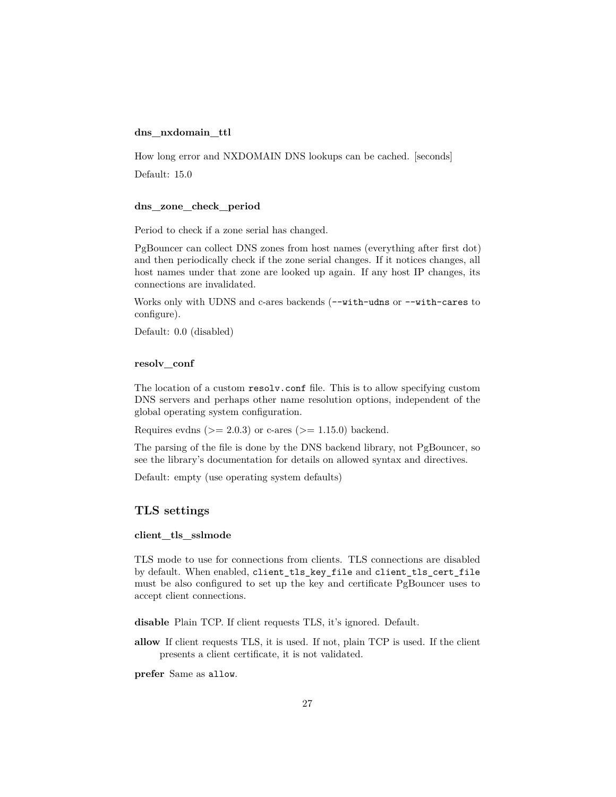### **dns\_nxdomain\_ttl**

How long error and NXDOMAIN DNS lookups can be cached. [seconds]

Default: 15.0

#### **dns\_zone\_check\_period**

Period to check if a zone serial has changed.

PgBouncer can collect DNS zones from host names (everything after first dot) and then periodically check if the zone serial changes. If it notices changes, all host names under that zone are looked up again. If any host IP changes, its connections are invalidated.

Works only with UDNS and c-ares backends ( $--with$ -udns or  $--with$ -cares to configure).

Default: 0.0 (disabled)

#### **resolv\_conf**

The location of a custom resolv.conf file. This is to allow specifying custom DNS servers and perhaps other name resolution options, independent of the global operating system configuration.

Requires evdns ( $>= 2.0.3$ ) or c-ares ( $>= 1.15.0$ ) backend.

The parsing of the file is done by the DNS backend library, not PgBouncer, so see the library's documentation for details on allowed syntax and directives.

Default: empty (use operating system defaults)

### **TLS settings**

#### **client\_tls\_sslmode**

TLS mode to use for connections from clients. TLS connections are disabled by default. When enabled, client\_tls\_key\_file and client\_tls\_cert\_file must be also configured to set up the key and certificate PgBouncer uses to accept client connections.

**disable** Plain TCP. If client requests TLS, it's ignored. Default.

**allow** If client requests TLS, it is used. If not, plain TCP is used. If the client presents a client certificate, it is not validated.

**prefer** Same as allow.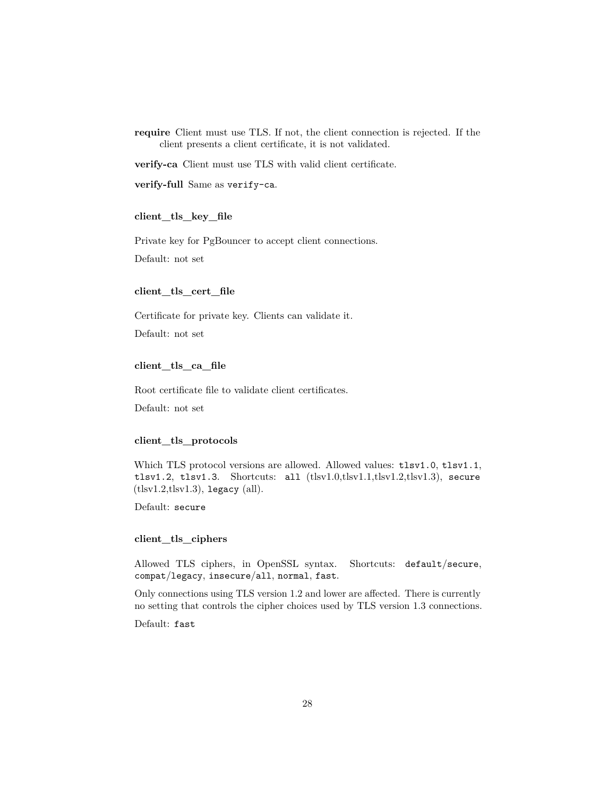**require** Client must use TLS. If not, the client connection is rejected. If the client presents a client certificate, it is not validated.

**verify-ca** Client must use TLS with valid client certificate.

**verify-full** Same as verify-ca.

### **client\_tls\_key\_file**

Private key for PgBouncer to accept client connections.

Default: not set

#### **client\_tls\_cert\_file**

Certificate for private key. Clients can validate it.

Default: not set

### **client\_tls\_ca\_file**

Root certificate file to validate client certificates. Default: not set

### **client\_tls\_protocols**

Which TLS protocol versions are allowed. Allowed values:  $tlsv1.0, tlsv1.1,$ tlsv1.2, tlsv1.3. Shortcuts: all (tlsv1.0,tlsv1.1,tlsv1.2,tlsv1.3), secure  $(tlsv1.2, tlsv1.3)$ , legacy  $(all)$ .

Default: secure

### **client\_tls\_ciphers**

Allowed TLS ciphers, in OpenSSL syntax. Shortcuts: default/secure, compat/legacy, insecure/all, normal, fast.

Only connections using TLS version 1.2 and lower are affected. There is currently no setting that controls the cipher choices used by TLS version 1.3 connections.

Default: fast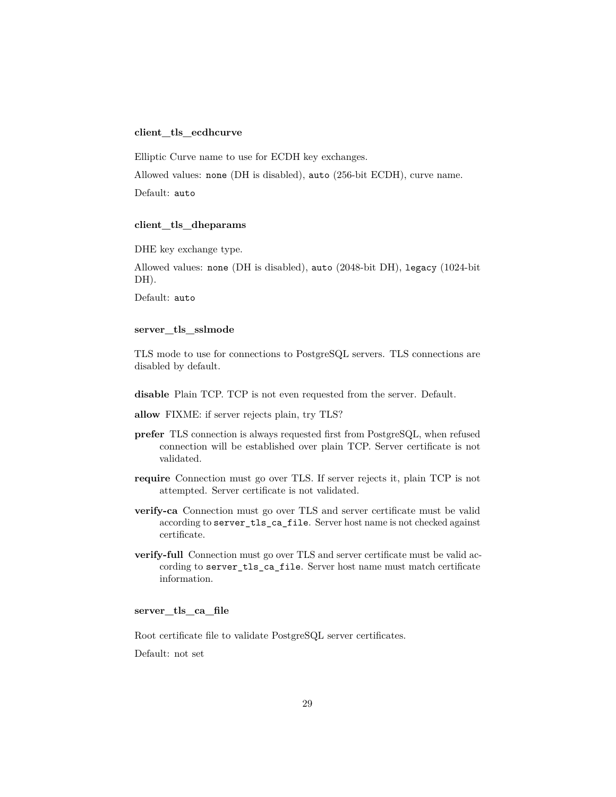#### **client\_tls\_ecdhcurve**

Elliptic Curve name to use for ECDH key exchanges.

Allowed values: none (DH is disabled), auto (256-bit ECDH), curve name.

Default: auto

#### **client\_tls\_dheparams**

DHE key exchange type.

Allowed values: none (DH is disabled), auto (2048-bit DH), legacy (1024-bit DH).

Default: auto

### **server\_tls\_sslmode**

TLS mode to use for connections to PostgreSQL servers. TLS connections are disabled by default.

**disable** Plain TCP. TCP is not even requested from the server. Default.

- **allow** FIXME: if server rejects plain, try TLS?
- **prefer** TLS connection is always requested first from PostgreSQL, when refused connection will be established over plain TCP. Server certificate is not validated.
- **require** Connection must go over TLS. If server rejects it, plain TCP is not attempted. Server certificate is not validated.
- **verify-ca** Connection must go over TLS and server certificate must be valid according to server\_tls\_ca\_file. Server host name is not checked against certificate.
- **verify-full** Connection must go over TLS and server certificate must be valid according to server\_tls\_ca\_file. Server host name must match certificate information.

### **server\_tls\_ca\_file**

Root certificate file to validate PostgreSQL server certificates.

Default: not set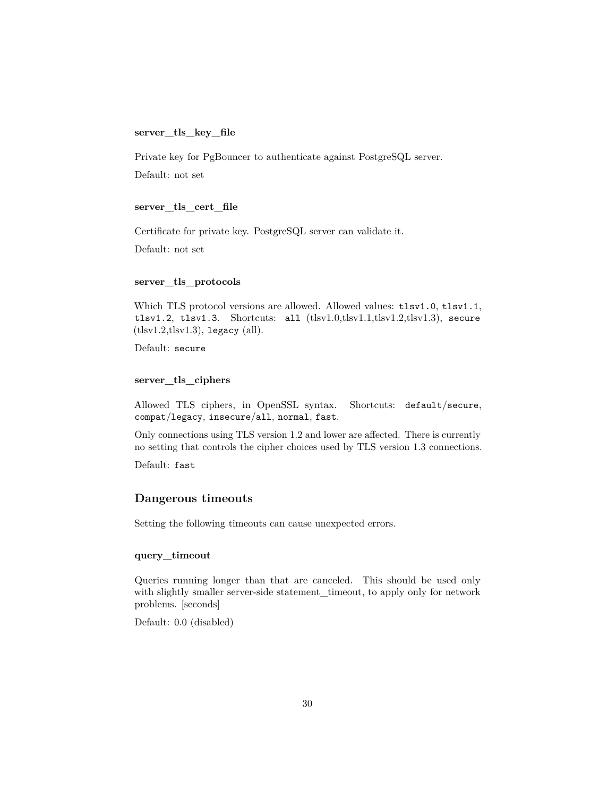#### **server\_tls\_key\_file**

Private key for PgBouncer to authenticate against PostgreSQL server.

Default: not set

#### **server\_tls\_cert\_file**

Certificate for private key. PostgreSQL server can validate it.

Default: not set

### **server\_tls\_protocols**

Which TLS protocol versions are allowed. Allowed values:  $tlsv1.0, tlsv1.1,$ tlsv1.2, tlsv1.3. Shortcuts: all (tlsv1.0,tlsv1.1,tlsv1.2,tlsv1.3), secure  $(tlsv1.2, tlsv1.3)$ , legacy  $(all)$ .

Default: secure

### **server\_tls\_ciphers**

Allowed TLS ciphers, in OpenSSL syntax. Shortcuts: default/secure, compat/legacy, insecure/all, normal, fast.

Only connections using TLS version 1.2 and lower are affected. There is currently no setting that controls the cipher choices used by TLS version 1.3 connections.

Default: fast

### **Dangerous timeouts**

Setting the following timeouts can cause unexpected errors.

#### **query\_timeout**

Queries running longer than that are canceled. This should be used only with slightly smaller server-side statement\_timeout, to apply only for network problems. [seconds]

Default: 0.0 (disabled)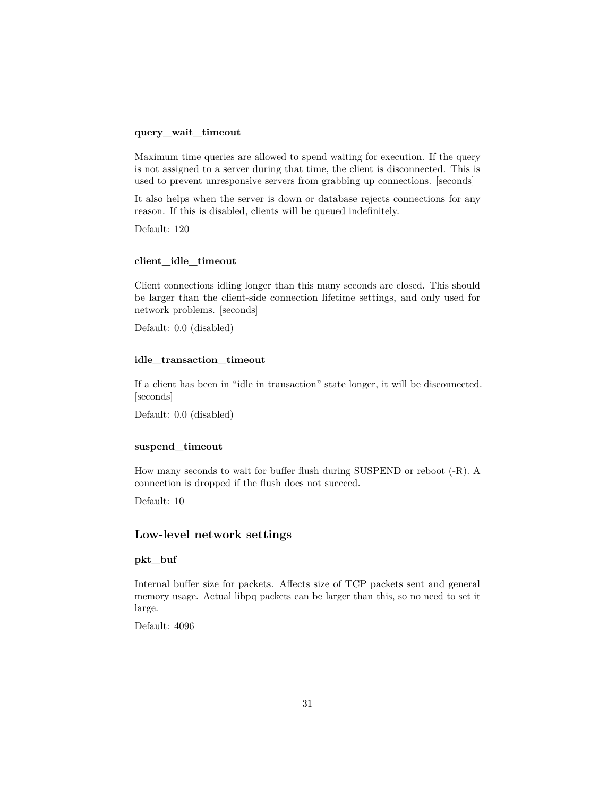### **query\_wait\_timeout**

Maximum time queries are allowed to spend waiting for execution. If the query is not assigned to a server during that time, the client is disconnected. This is used to prevent unresponsive servers from grabbing up connections. [seconds]

It also helps when the server is down or database rejects connections for any reason. If this is disabled, clients will be queued indefinitely.

Default: 120

# **client\_idle\_timeout**

Client connections idling longer than this many seconds are closed. This should be larger than the client-side connection lifetime settings, and only used for network problems. [seconds]

Default: 0.0 (disabled)

### **idle\_transaction\_timeout**

If a client has been in "idle in transaction" state longer, it will be disconnected. [seconds]

Default: 0.0 (disabled)

### **suspend\_timeout**

How many seconds to wait for buffer flush during SUSPEND or reboot (-R). A connection is dropped if the flush does not succeed.

Default: 10

### **Low-level network settings**

### **pkt\_buf**

Internal buffer size for packets. Affects size of TCP packets sent and general memory usage. Actual libpq packets can be larger than this, so no need to set it large.

Default: 4096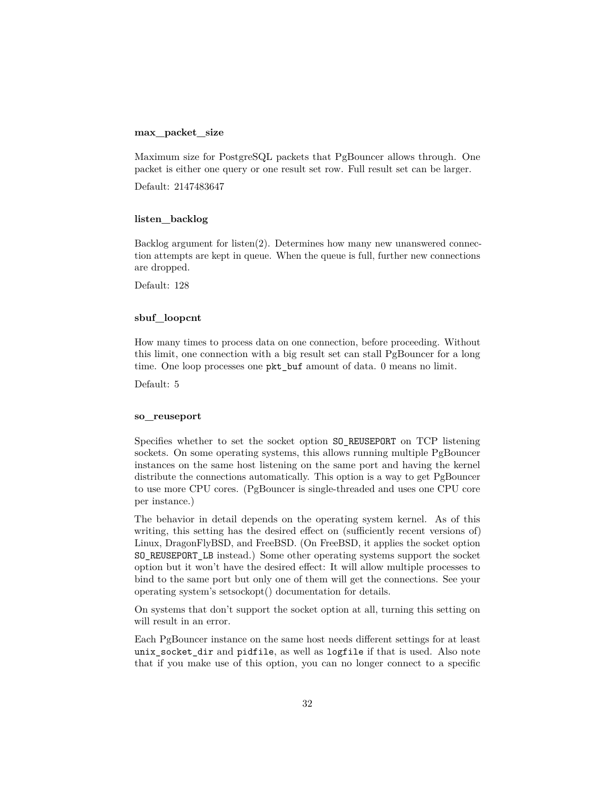### **max\_packet\_size**

Maximum size for PostgreSQL packets that PgBouncer allows through. One packet is either one query or one result set row. Full result set can be larger.

Default: 2147483647

#### **listen\_backlog**

Backlog argument for listen(2). Determines how many new unanswered connection attempts are kept in queue. When the queue is full, further new connections are dropped.

Default: 128

#### **sbuf\_loopcnt**

How many times to process data on one connection, before proceeding. Without this limit, one connection with a big result set can stall PgBouncer for a long time. One loop processes one pkt\_buf amount of data. 0 means no limit.

Default: 5

#### **so\_reuseport**

Specifies whether to set the socket option SO\_REUSEPORT on TCP listening sockets. On some operating systems, this allows running multiple PgBouncer instances on the same host listening on the same port and having the kernel distribute the connections automatically. This option is a way to get PgBouncer to use more CPU cores. (PgBouncer is single-threaded and uses one CPU core per instance.)

The behavior in detail depends on the operating system kernel. As of this writing, this setting has the desired effect on (sufficiently recent versions of) Linux, DragonFlyBSD, and FreeBSD. (On FreeBSD, it applies the socket option SO\_REUSEPORT\_LB instead.) Some other operating systems support the socket option but it won't have the desired effect: It will allow multiple processes to bind to the same port but only one of them will get the connections. See your operating system's setsockopt() documentation for details.

On systems that don't support the socket option at all, turning this setting on will result in an error.

Each PgBouncer instance on the same host needs different settings for at least unix\_socket\_dir and pidfile, as well as logfile if that is used. Also note that if you make use of this option, you can no longer connect to a specific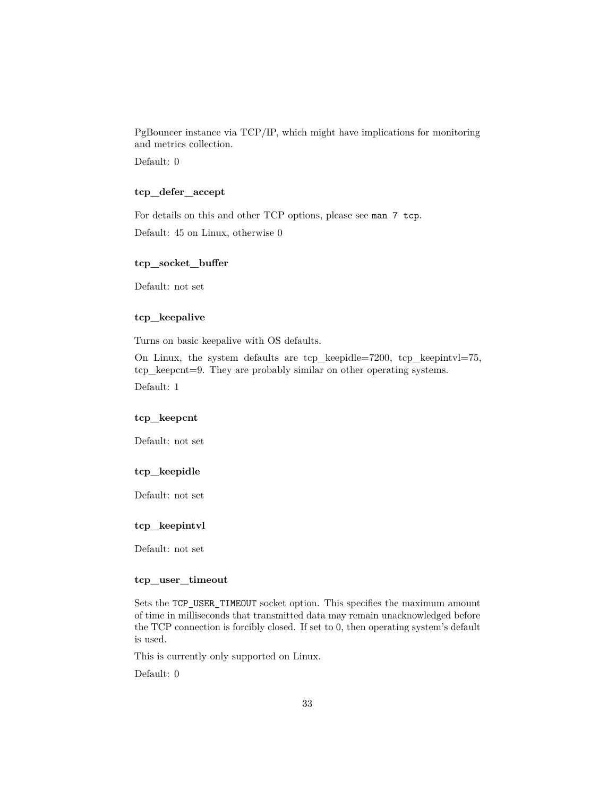PgBouncer instance via TCP/IP, which might have implications for monitoring and metrics collection. Default: 0

# **tcp\_defer\_accept**

For details on this and other TCP options, please see man 7 tcp. Default: 45 on Linux, otherwise 0

### **tcp\_socket\_buffer**

Default: not set

### **tcp\_keepalive**

Turns on basic keepalive with OS defaults.

On Linux, the system defaults are tcp\_keepidle=7200, tcp\_keepintvl=75, tcp\_keepcnt=9. They are probably similar on other operating systems. Default: 1

#### **tcp\_keepcnt**

Default: not set

### **tcp\_keepidle**

Default: not set

### **tcp\_keepintvl**

Default: not set

### **tcp\_user\_timeout**

Sets the TCP\_USER\_TIMEOUT socket option. This specifies the maximum amount of time in milliseconds that transmitted data may remain unacknowledged before the TCP connection is forcibly closed. If set to 0, then operating system's default is used.

This is currently only supported on Linux.

Default: 0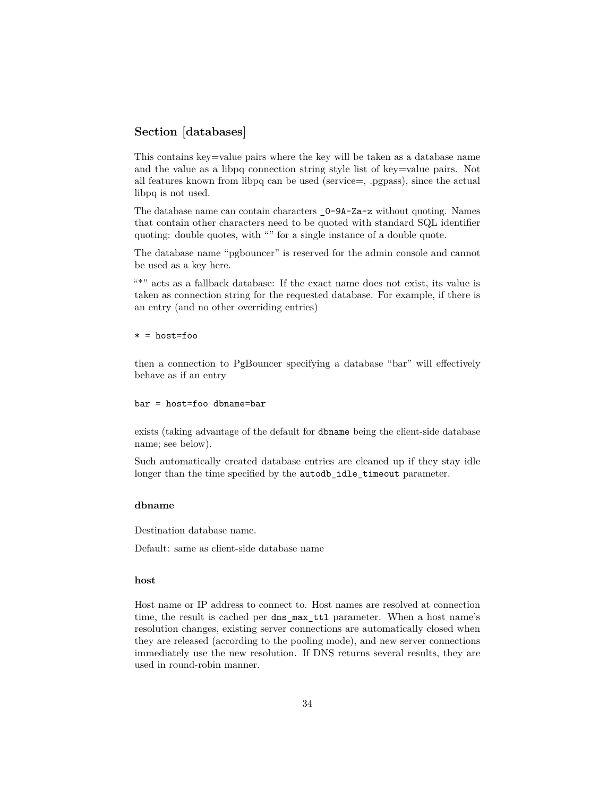# **Section [databases]**

This contains key=value pairs where the key will be taken as a database name and the value as a libpq connection string style list of key=value pairs. Not all features known from libpq can be used (service=, .pgpass), since the actual libpq is not used.

The database name can contain characters \_0-9A-Za-z without quoting. Names that contain other characters need to be quoted with standard SQL identifier quoting: double quotes, with "" for a single instance of a double quote.

The database name "pgbouncer" is reserved for the admin console and cannot be used as a key here.

"\*" acts as a fallback database: If the exact name does not exist, its value is taken as connection string for the requested database. For example, if there is an entry (and no other overriding entries)

#### \* = host=foo

then a connection to PgBouncer specifying a database "bar" will effectively behave as if an entry

#### bar = host=foo dbname=bar

exists (taking advantage of the default for dbname being the client-side database name; see below).

Such automatically created database entries are cleaned up if they stay idle longer than the time specified by the autodb\_idle\_timeout parameter.

#### **dbname**

Destination database name.

Default: same as client-side database name

### **host**

Host name or IP address to connect to. Host names are resolved at connection time, the result is cached per dns\_max\_ttl parameter. When a host name's resolution changes, existing server connections are automatically closed when they are released (according to the pooling mode), and new server connections immediately use the new resolution. If DNS returns several results, they are used in round-robin manner.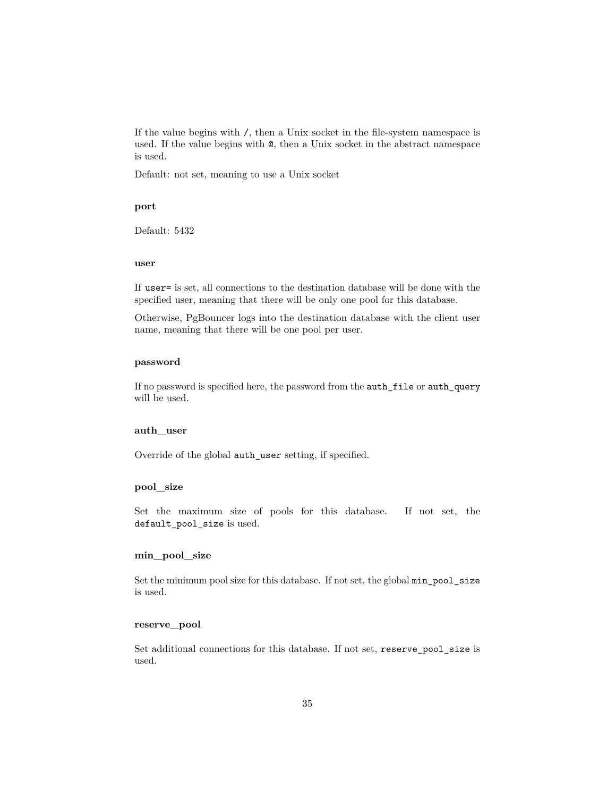If the value begins with /, then a Unix socket in the file-system namespace is used. If the value begins with @, then a Unix socket in the abstract namespace is used.

Default: not set, meaning to use a Unix socket

#### **port**

Default: 5432

#### **user**

If user= is set, all connections to the destination database will be done with the specified user, meaning that there will be only one pool for this database.

Otherwise, PgBouncer logs into the destination database with the client user name, meaning that there will be one pool per user.

### **password**

If no password is specified here, the password from the auth\_file or auth\_query will be used.

### **auth\_user**

Override of the global auth\_user setting, if specified.

#### **pool\_size**

Set the maximum size of pools for this database. If not set, the default\_pool\_size is used.

#### **min\_pool\_size**

Set the minimum pool size for this database. If not set, the global min\_pool\_size is used.

### **reserve\_pool**

Set additional connections for this database. If not set, reserve\_pool\_size is used.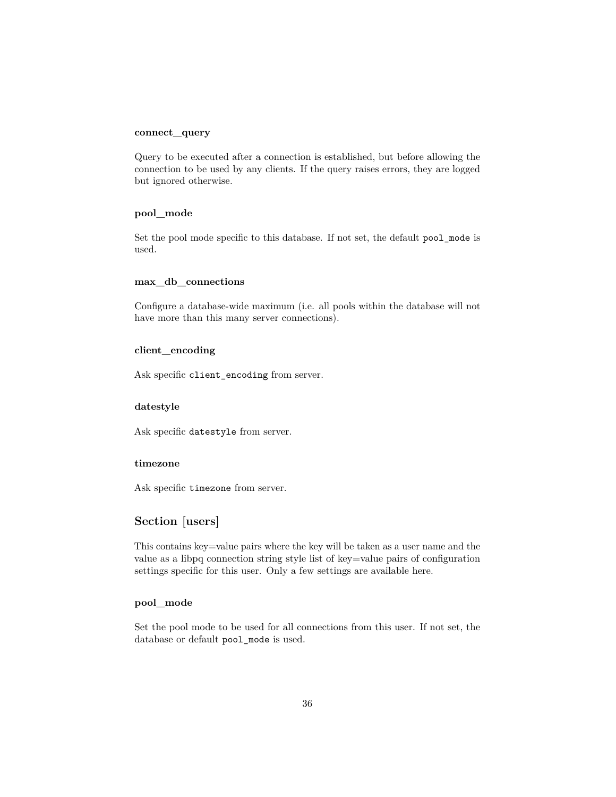### **connect\_query**

Query to be executed after a connection is established, but before allowing the connection to be used by any clients. If the query raises errors, they are logged but ignored otherwise.

### **pool\_mode**

Set the pool mode specific to this database. If not set, the default pool\_mode is used.

### **max\_db\_connections**

Configure a database-wide maximum (i.e. all pools within the database will not have more than this many server connections).

#### **client\_encoding**

Ask specific client\_encoding from server.

#### **datestyle**

Ask specific datestyle from server.

### **timezone**

Ask specific timezone from server.

# **Section [users]**

This contains key=value pairs where the key will be taken as a user name and the value as a libpq connection string style list of key=value pairs of configuration settings specific for this user. Only a few settings are available here.

### **pool\_mode**

Set the pool mode to be used for all connections from this user. If not set, the database or default pool\_mode is used.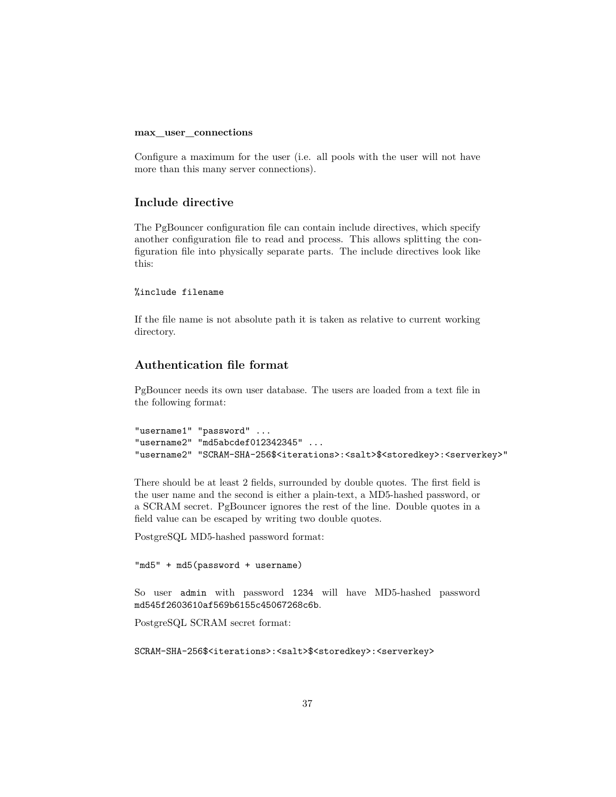#### **max\_user\_connections**

Configure a maximum for the user (i.e. all pools with the user will not have more than this many server connections).

### **Include directive**

The PgBouncer configuration file can contain include directives, which specify another configuration file to read and process. This allows splitting the configuration file into physically separate parts. The include directives look like this:

### %include filename

If the file name is not absolute path it is taken as relative to current working directory.

# <span id="page-36-0"></span>**Authentication file format**

PgBouncer needs its own user database. The users are loaded from a text file in the following format:

```
"username1" "password" ...
"username2" "md5abcdef012342345" ...
"username2" "SCRAM-SHA-256$<iterations>:<salt>$<storedkey>:<serverkey>"
```
There should be at least 2 fields, surrounded by double quotes. The first field is the user name and the second is either a plain-text, a MD5-hashed password, or a SCRAM secret. PgBouncer ignores the rest of the line. Double quotes in a field value can be escaped by writing two double quotes.

PostgreSQL MD5-hashed password format:

"md5" + md5(password + username)

So user admin with password 1234 will have MD5-hashed password md545f2603610af569b6155c45067268c6b.

PostgreSQL SCRAM secret format:

SCRAM-SHA-256\$<iterations>:<salt>\$<storedkey>:<serverkey>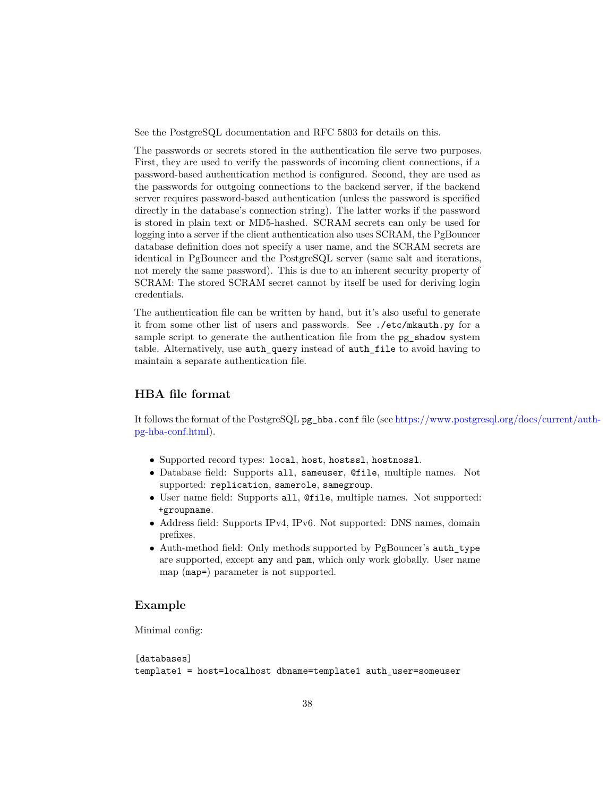See the PostgreSQL documentation and RFC 5803 for details on this.

The passwords or secrets stored in the authentication file serve two purposes. First, they are used to verify the passwords of incoming client connections, if a password-based authentication method is configured. Second, they are used as the passwords for outgoing connections to the backend server, if the backend server requires password-based authentication (unless the password is specified directly in the database's connection string). The latter works if the password is stored in plain text or MD5-hashed. SCRAM secrets can only be used for logging into a server if the client authentication also uses SCRAM, the PgBouncer database definition does not specify a user name, and the SCRAM secrets are identical in PgBouncer and the PostgreSQL server (same salt and iterations, not merely the same password). This is due to an inherent security property of SCRAM: The stored SCRAM secret cannot by itself be used for deriving login credentials.

The authentication file can be written by hand, but it's also useful to generate it from some other list of users and passwords. See ./etc/mkauth.py for a sample script to generate the authentication file from the pg\_shadow system table. Alternatively, use auth\_query instead of auth\_file to avoid having to maintain a separate authentication file.

# **HBA file format**

It follows the format of the PostgreSQL pg\_hba.conf file (see [https://www.postgr](https://www.postgresql.org/docs/current/auth-pg-hba-conf.html)esql.org/docs/current/auth[pg-hba-conf.html\)](https://www.postgresql.org/docs/current/auth-pg-hba-conf.html).

- Supported record types: local, host, hostssl, hostnossl.
- Database field: Supports all, sameuser, @file, multiple names. Not supported: replication, samerole, samegroup.
- User name field: Supports all, @file, multiple names. Not supported: +groupname.
- Address field: Supports IPv4, IPv6. Not supported: DNS names, domain prefixes.
- Auth-method field: Only methods supported by PgBouncer's auth\_type are supported, except any and pam, which only work globally. User name map (map=) parameter is not supported.

### **Example**

Minimal config:

[databases] template1 = host=localhost dbname=template1 auth\_user=someuser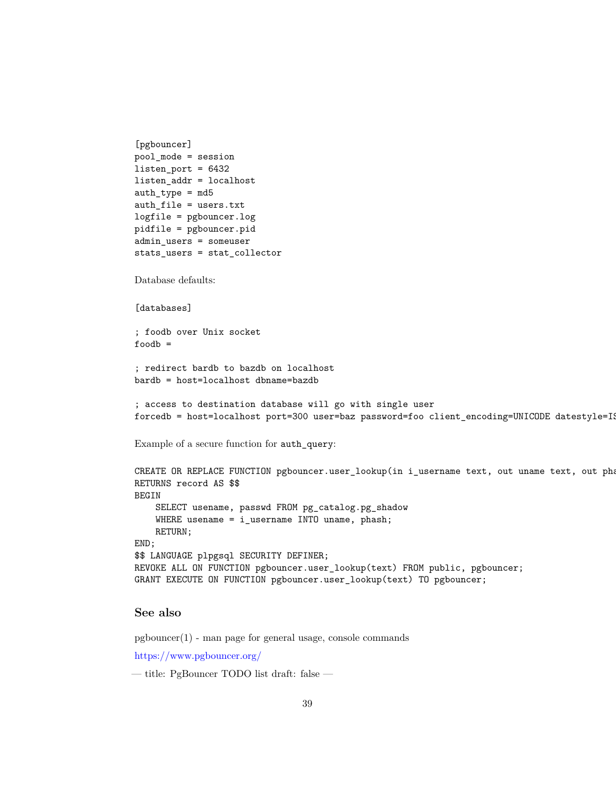```
[pgbouncer]
pool_mode = session
listen_port = 6432
listen_addr = localhost
auth_type = md5auth_file = users.txt
logfile = pgbouncer.log
pidfile = pgbouncer.pid
admin_users = someuser
stats_users = stat_collector
Database defaults:
[databases]
; foodb over Unix socket
foodb =; redirect bardb to bazdb on localhost
bardb = host=localhost dbname=bazdb
; access to destination database will go with single user
forcedb = host = localhost port = 300 user = baz password = foo client\_encoding = UNICODE datestyle = ISExample of a secure function for auth_query:
CREATE OR REPLACE FUNCTION pgbouncer.user_lookup(in i_username text, out uname text, out pha
RETURNS record AS $$
BEGIN
    SELECT usename, passwd FROM pg_catalog.pg_shadow
    WHERE usename = i_username INTO uname, phash;
    RETURN;
END;
$$ LANGUAGE plpgsql SECURITY DEFINER;
REVOKE ALL ON FUNCTION pgbouncer.user_lookup(text) FROM public, pgbouncer;
GRANT EXECUTE ON FUNCTION pgbouncer.user_lookup(text) TO pgbouncer;
```
# **See also**

 $pgbounceer(1)$  - man page for general usage, console commands

<https://www.pgbouncer.org/>

— title: PgBouncer TODO list draft: false —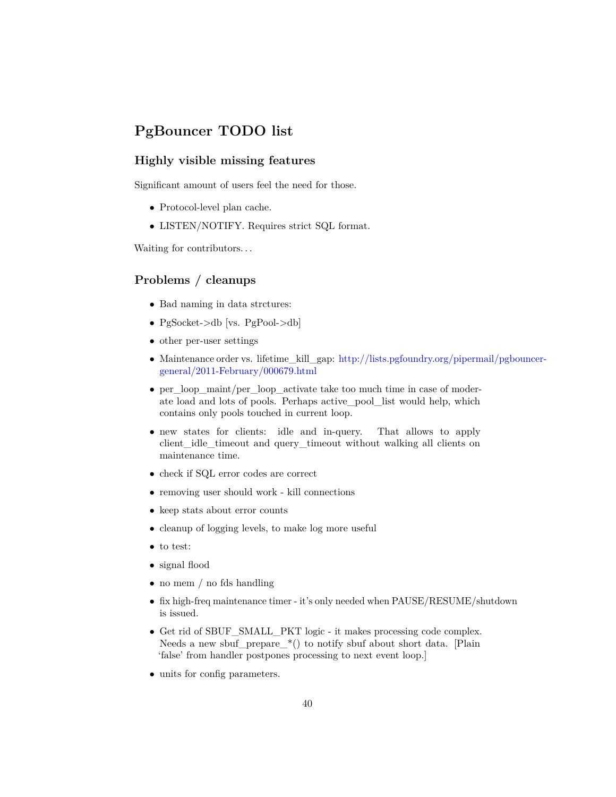# **PgBouncer TODO list**

# **Highly visible missing features**

Significant amount of users feel the need for those.

- Protocol-level plan cache.
- LISTEN/NOTIFY. Requires strict SQL format.

Waiting for contributors...

# **Problems / cleanups**

- Bad naming in data strctures:
- PgSocket->db [vs. PgPool->db]
- other per-user settings
- Maintenance order vs. lifetime\_kill\_gap: [http://lists.pgfoundry.org/piperm](http://lists.pgfoundry.org/pipermail/pgbouncer-general/2011-February/000679.html)ail/pgbouncer[general/2011-February/000679.html](http://lists.pgfoundry.org/pipermail/pgbouncer-general/2011-February/000679.html)
- per\_loop\_maint/per\_loop\_activate take too much time in case of moderate load and lots of pools. Perhaps active\_pool\_list would help, which contains only pools touched in current loop.
- new states for clients: idle and in-query. That allows to apply client\_idle\_timeout and query\_timeout without walking all clients on maintenance time.
- check if SQL error codes are correct
- removing user should work kill connections
- keep stats about error counts
- cleanup of logging levels, to make log more useful
- to test:
- signal flood
- no mem / no fds handling
- fix high-freq maintenance timer it's only needed when PAUSE/RESUME/shutdown is issued.
- Get rid of SBUF\_SMALL\_PKT logic it makes processing code complex. Needs a new sbuf\_prepare\_\*() to notify sbuf about short data. [Plain 'false' from handler postpones processing to next event loop.]
- units for config parameters.